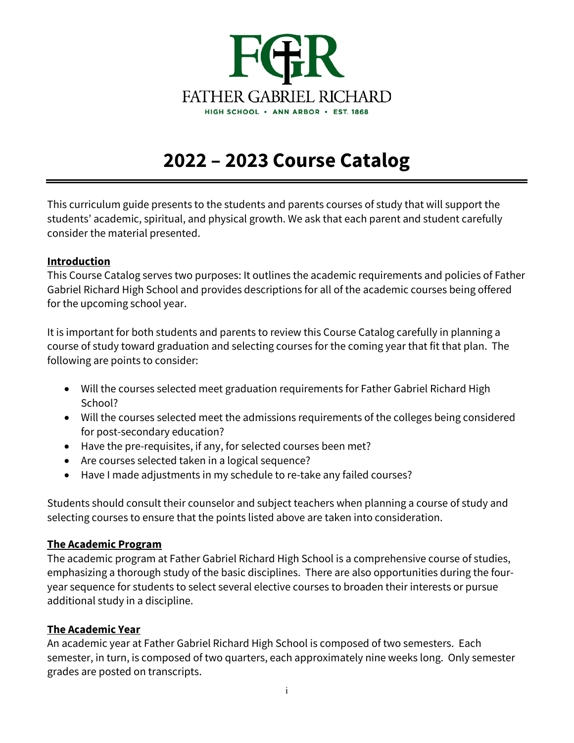

# **2022 – 2023 Course Catalog**

This curriculum guide presents to the students and parents courses of study that will support the students' academic, spiritual, and physical growth. We ask that each parent and student carefully consider the material presented.

## **Introduction**

This Course Catalog serves two purposes: It outlines the academic requirements and policies of Father Gabriel Richard High School and provides descriptions for all of the academic courses being offered for the upcoming school year.

It is important for both students and parents to review this Course Catalog carefully in planning a course of study toward graduation and selecting courses for the coming year that fit that plan. The following are points to consider:

- Will the courses selected meet graduation requirements for Father Gabriel Richard High School?
- Will the courses selected meet the admissions requirements of the colleges being considered for post-secondary education?
- Have the pre-requisites, if any, for selected courses been met?
- Are courses selected taken in a logical sequence?
- Have I made adjustments in my schedule to re-take any failed courses?

Students should consult their counselor and subject teachers when planning a course of study and selecting courses to ensure that the points listed above are taken into consideration.

## **The Academic Program**

The academic program at Father Gabriel Richard High School is a comprehensive course of studies, emphasizing a thorough study of the basic disciplines. There are also opportunities during the fouryear sequence for students to select several elective courses to broaden their interests or pursue additional study in a discipline.

## **The Academic Year**

An academic year at Father Gabriel Richard High School is composed of two semesters. Each semester, in turn, is composed of two quarters, each approximately nine weeks long. Only semester grades are posted on transcripts.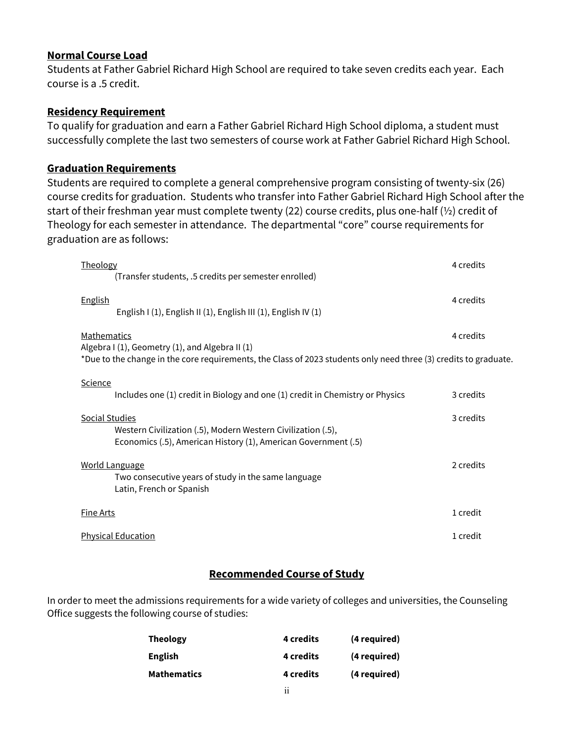## **Normal Course Load**

Students at Father Gabriel Richard High School are required to take seven credits each year. Each course is a .5 credit.

## **Residency Requirement**

To qualify for graduation and earn a Father Gabriel Richard High School diploma, a student must successfully complete the last two semesters of course work at Father Gabriel Richard High School.

## **Graduation Requirements**

Students are required to complete a general comprehensive program consisting of twenty-six (26) course credits for graduation. Students who transfer into Father Gabriel Richard High School after the start of their freshman year must complete twenty (22) course credits, plus one-half (½) credit of Theology for each semester in attendance. The departmental "core" course requirements for graduation are as follows:

| Theology<br>(Transfer students, .5 credits per semester enrolled)                                                                                       | 4 credits |
|---------------------------------------------------------------------------------------------------------------------------------------------------------|-----------|
| <b>English</b><br>English I (1), English II (1), English III (1), English IV (1)                                                                        | 4 credits |
| Mathematics<br>Algebra I (1), Geometry (1), and Algebra II (1)                                                                                          | 4 credits |
| *Due to the change in the core requirements, the Class of 2023 students only need three (3) credits to graduate.                                        |           |
| <b>Science</b><br>Includes one (1) credit in Biology and one (1) credit in Chemistry or Physics                                                         | 3 credits |
| <b>Social Studies</b><br>Western Civilization (.5), Modern Western Civilization (.5),<br>Economics (.5), American History (1), American Government (.5) | 3 credits |
| <u>World Language</u><br>Two consecutive years of study in the same language<br>Latin, French or Spanish                                                | 2 credits |
| <b>Fine Arts</b>                                                                                                                                        | 1 credit  |
| <b>Physical Education</b>                                                                                                                               | 1 credit  |

## **Recommended Course of Study**

In order to meet the admissions requirements for a wide variety of colleges and universities, the Counseling Office suggests the following course of studies:

| <b>Theology</b> | <b>4</b> credits | (4 required) |
|-----------------|------------------|--------------|
| English         | 4 credits        | (4 required) |
| Mathematics     | 4 credits        | (4 required) |
|                 | $\cdot$ .        |              |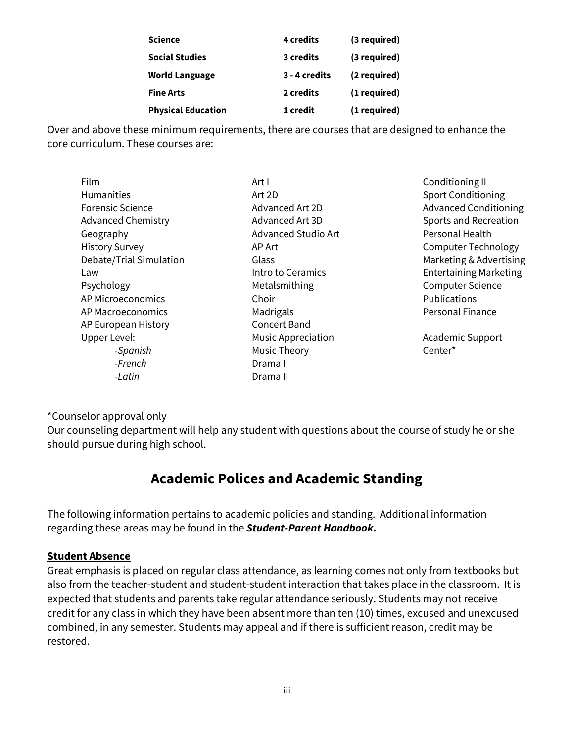| <b>Physical Education</b> | 1 credit      | (1 required) |
|---------------------------|---------------|--------------|
| <b>Fine Arts</b>          | 2 credits     | (1 required) |
| <b>World Language</b>     | 3 - 4 credits | (2 required) |
| <b>Social Studies</b>     | 3 credits     | (3 required) |
| <b>Science</b>            | 4 credits     | (3 required) |

Over and above these minimum requirements, there are courses that are designed to enhance the core curriculum. These courses are:

| Film                      | Art I                      | Conditioning II               |
|---------------------------|----------------------------|-------------------------------|
| Humanities                | Art 2D                     | <b>Sport Conditioning</b>     |
| <b>Forensic Science</b>   | Advanced Art 2D            | <b>Advanced Conditioning</b>  |
| <b>Advanced Chemistry</b> | Advanced Art 3D            | Sports and Recreation         |
| Geography                 | <b>Advanced Studio Art</b> | Personal Health               |
| <b>History Survey</b>     | AP Art                     | <b>Computer Technology</b>    |
| Debate/Trial Simulation   | Glass                      | Marketing & Advertising       |
| Law                       | Intro to Ceramics          | <b>Entertaining Marketing</b> |
| Psychology                | Metalsmithing              | <b>Computer Science</b>       |
| AP Microeconomics         | Choir                      | <b>Publications</b>           |
| AP Macroeconomics         | Madrigals                  | <b>Personal Finance</b>       |
| AP European History       | <b>Concert Band</b>        |                               |
| Upper Level:              | <b>Music Appreciation</b>  | <b>Academic Support</b>       |
| -Spanish                  | <b>Music Theory</b>        | Center*                       |
| -French                   | Drama I                    |                               |
| -Latin                    | Drama II                   |                               |
|                           |                            |                               |

\*Counselor approval only

Our counseling department will help any student with questions about the course of study he or she should pursue during high school.

## **Academic Polices and Academic Standing**

The following information pertains to academic policies and standing. Additional information regarding these areas may be found in the *Student-Parent Handbook.*

## **Student Absence**

Great emphasis is placed on regular class attendance, as learning comes not only from textbooks but also from the teacher-student and student-student interaction that takes place in the classroom. It is expected that students and parents take regular attendance seriously. Students may not receive credit for any class in which they have been absent more than ten (10) times, excused and unexcused combined, in any semester. Students may appeal and if there is sufficient reason, credit may be restored.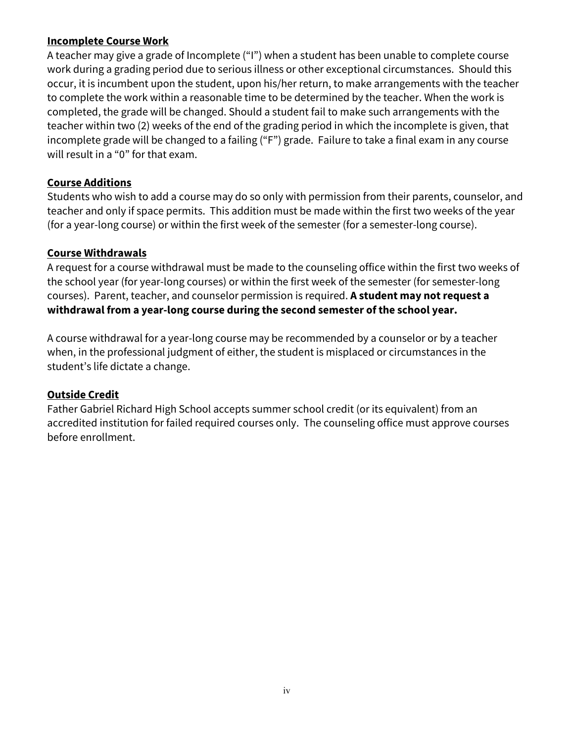## **Incomplete Course Work**

A teacher may give a grade of Incomplete ("I") when a student has been unable to complete course work during a grading period due to serious illness or other exceptional circumstances. Should this occur, it is incumbent upon the student, upon his/her return, to make arrangements with the teacher to complete the work within a reasonable time to be determined by the teacher. When the work is completed, the grade will be changed. Should a student fail to make such arrangements with the teacher within two (2) weeks of the end of the grading period in which the incomplete is given, that incomplete grade will be changed to a failing ("F") grade. Failure to take a final exam in any course will result in a "0" for that exam.

## **Course Additions**

Students who wish to add a course may do so only with permission from their parents, counselor, and teacher and only if space permits. This addition must be made within the first two weeks of the year (for a year-long course) or within the first week of the semester (for a semester-long course).

## **Course Withdrawals**

A request for a course withdrawal must be made to the counseling office within the first two weeks of the school year (for year-long courses) or within the first week of the semester (for semester-long courses). Parent, teacher, and counselor permission is required. **A student may not request a withdrawal from a year-long course during the second semester of the school year.**

A course withdrawal for a year-long course may be recommended by a counselor or by a teacher when, in the professional judgment of either, the student is misplaced or circumstances in the student's life dictate a change.

## **Outside Credit**

Father Gabriel Richard High School accepts summer school credit (or its equivalent) from an accredited institution for failed required courses only. The counseling office must approve courses before enrollment.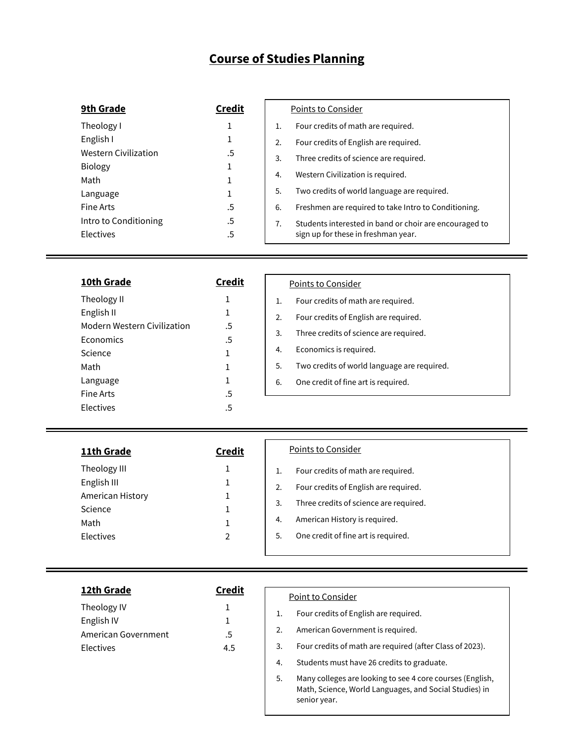## **Course of Studies Planning**

| 9th Grade                   | <b>Credit</b> | Points to Consider |                                                        |
|-----------------------------|---------------|--------------------|--------------------------------------------------------|
| Theology I                  |               | 1.                 | Four credits of math are required.                     |
| English I                   | 1             | 2.                 | Four credits of English are required.                  |
| <b>Western Civilization</b> | .5            | 3.                 | Three credits of science are required.                 |
| <b>Biology</b>              | 1             | 4.                 | Western Civilization is required.                      |
| Math                        |               |                    |                                                        |
| Language                    | ┸             | 5.                 | Two credits of world language are required.            |
| Fine Arts                   | .5            | 6.                 | Freshmen are required to take Intro to Conditioning.   |
| Intro to Conditioning       | .5            | 7.                 | Students interested in band or choir are encouraged to |
| Electives                   | .5            |                    | sign up for these in freshman year.                    |

| 10th Grade                  | <b>Credit</b> | Points to Consider                                |
|-----------------------------|---------------|---------------------------------------------------|
| Theology II                 | 1             | Four credits of math are required.<br>1.          |
| English II                  | 1             | Four credits of English are required.<br>2.       |
| Modern Western Civilization | .5            | 3.<br>Three credits of science are required.      |
| Economics                   | .5            |                                                   |
| Science                     | 1             | Economics is required.<br>4.                      |
| Math                        | 1             | Two credits of world language are required.<br>5. |
| Language                    | 1             | 6.<br>One credit of fine art is required.         |
| Fine Arts                   | .5            |                                                   |
| Electives                   | .5            |                                                   |

| 11th Grade                                                                      | <b>Credit</b> | Points to Consider                                                                                                                                                                                                          |
|---------------------------------------------------------------------------------|---------------|-----------------------------------------------------------------------------------------------------------------------------------------------------------------------------------------------------------------------------|
| Theology III<br>English III<br>American History<br>Science<br>Math<br>Electives | 2             | Four credits of math are required.<br>1.<br>Four credits of English are required.<br>2.<br>Three credits of science are required.<br>3.<br>American History is required.<br>4.<br>One credit of fine art is required.<br>5. |

| 12th Grade                                                    | Credit        | Point to Consider                                                                                                                                                                               |
|---------------------------------------------------------------|---------------|-------------------------------------------------------------------------------------------------------------------------------------------------------------------------------------------------|
| Theology IV<br>English IV<br>American Government<br>Electives | $.5\,$<br>4.5 | Four credits of English are required.<br>American Government is required.<br>Four credits of math are required (after Class of 2023).<br>3.<br>Students must have 26 credits to graduate.<br>4. |

5. Many colleges are looking to see 4 core courses (English, Math, Science, World Languages, and Social Studies) in senior year.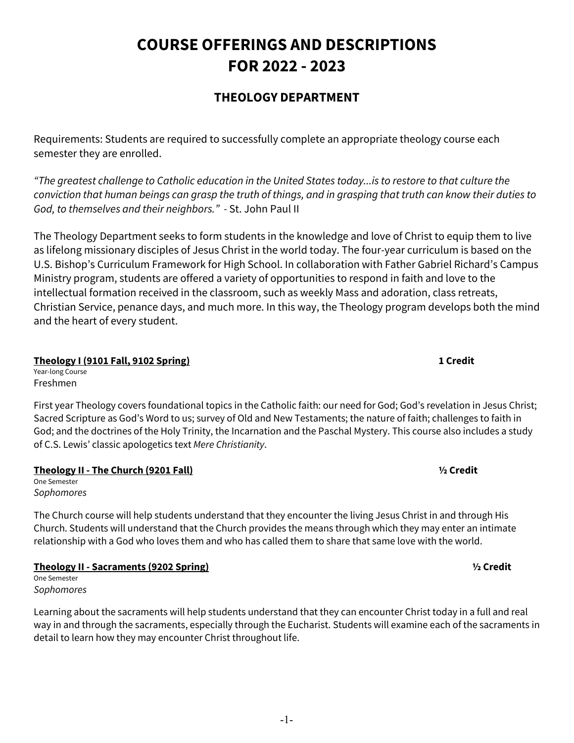# **COURSE OFFERINGS AND DESCRIPTIONS FOR 2022 - 2023**

## **THEOLOGY DEPARTMENT**

Requirements: Students are required to successfully complete an appropriate theology course each semester they are enrolled.

*"The greatest challenge to Catholic education in the United States today...is to restore to that culture the conviction that human beings can grasp the truth of things, and in grasping that truth can know their duties to God, to themselves and their neighbors." -* St. John Paul II

The Theology Department seeks to form students in the knowledge and love of Christ to equip them to live as lifelong missionary disciples of Jesus Christ in the world today. The four-year curriculum is based on the U.S. Bishop's Curriculum Framework for High School. In collaboration with Father Gabriel Richard's Campus Ministry program, students are offered a variety of opportunities to respond in faith and love to the intellectual formation received in the classroom, such as weekly Mass and adoration, class retreats, Christian Service, penance days, and much more. In this way, the Theology program develops both the mind and the heart of every student.

## **Theology I (9101 Fall, 9102 Spring) 1 Credit**

Year-long Course Freshmen

First year Theology covers foundational topics in the Catholic faith: our need for God; God's revelation in Jesus Christ; Sacred Scripture as God's Word to us; survey of Old and New Testaments; the nature of faith; challenges to faith in God; and the doctrines of the Holy Trinity, the Incarnation and the Paschal Mystery. This course also includes a study of C.S. Lewis' classic apologetics text *Mere Christianity*.

## **Theology II - The Church (9201 Fall) ½ Credit**

One Semester *Sophomores*

The Church course will help students understand that they encounter the living Jesus Christ in and through His Church. Students will understand that the Church provides the means through which they may enter an intimate relationship with a God who loves them and who has called them to share that same love with the world.

**Theology II - Sacraments (9202 Spring) ½ Credit**

One Semester *Sophomores*

Learning about the sacraments will help students understand that they can encounter Christ today in a full and real way in and through the sacraments, especially through the Eucharist. Students will examine each of the sacraments in detail to learn how they may encounter Christ throughout life.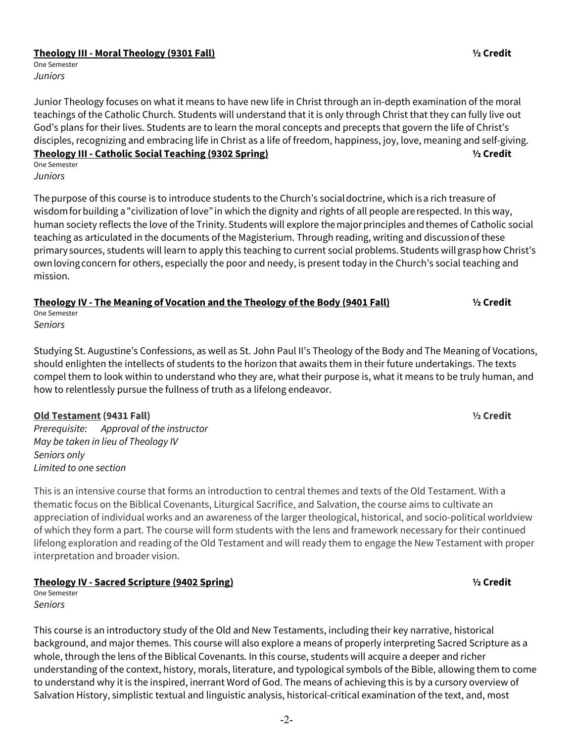### **Theology III - Moral Theology (9301 Fall) ½ Credit**

One Semester *Juniors*

Junior Theology focuses on what it means to have new life in Christ through an in-depth examination of the moral teachings of the Catholic Church. Students will understand that it is only through Christ that they can fully live out God's plans for their lives. Students are to learn the moral concepts and precepts that govern the life of Christ's disciples, recognizing and embracing life in Christ as a life of freedom, happiness, joy, love, meaning and self-giving. **Theology III - Catholic Social Teaching (9302 Spring) ½ Credit**  One Semester

*Juniors*

The purpose of this course is to introduce students to the Church's social doctrine, which is a rich treasure of wisdom for building a "civilization of love" in which the dignity and rights of all people are respected. In this way, human society reflects the love of the Trinity. Students will explore the major principles and themes of Catholic social teaching as articulated in the documents of the Magisterium. Through reading, writing and discussion of these primary sources, students will learn to apply this teaching to current social problems. Students will grasp how Christ's own loving concern for others, especially the poor and needy, is present today in the Church's social teaching and mission.  

## **Theology IV - The Meaning of Vocation and the Theology of the Body (9401 Fall) ½ Credit**

One Semester *Seniors*

Studying St. Augustine's Confessions, as well as St. John Paul II's Theology of the Body and The Meaning of Vocations, should enlighten the intellects of students to the horizon that awaits them in their future undertakings. The texts compel them to look within to understand who they are, what their purpose is, what it means to be truly human, and how to relentlessly pursue the fullness of truth as a lifelong endeavor.

## **Old Testament (9431 Fall) ½ Credit**

*Prerequisite: Approval of the instructor May be taken in lieu of Theology IV Seniors only Limited to one section*

This is an intensive course that forms an introduction to central themes and texts of the Old Testament. With a thematic focus on the Biblical Covenants, Liturgical Sacrifice, and Salvation, the course aims to cultivate an appreciation of individual works and an awareness of the larger theological, historical, and socio-political worldview of which they form a part. The course will form students with the lens and framework necessary for their continued lifelong exploration and reading of the Old Testament and will ready them to engage the New Testament with proper interpretation and broader vision.

## **Theology IV - Sacred Scripture (9402 Spring) ½ Credit**

One Semester *Seniors*

This course is an introductory study of the Old and New Testaments, including their key narrative, historical background, and major themes. This course will also explore a means of properly interpreting Sacred Scripture as a whole, through the lens of the Biblical Covenants. In this course, students will acquire a deeper and richer understanding of the context, history, morals, literature, and typological symbols of the Bible, allowing them to come to understand why it is the inspired, inerrant Word of God. The means of achieving this is by a cursory overview of Salvation History, simplistic textual and linguistic analysis, historical-critical examination of the text, and, most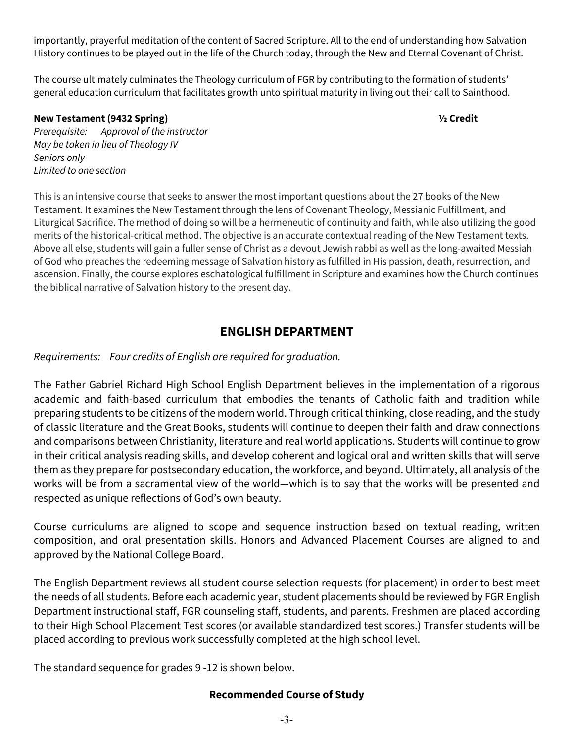importantly, prayerful meditation of the content of Sacred Scripture. All to the end of understanding how Salvation History continues to be played out in the life of the Church today, through the New and Eternal Covenant of Christ.

The course ultimately culminates the Theology curriculum of FGR by contributing to the formation of students' general education curriculum that facilitates growth unto spiritual maturity in living out their call to Sainthood.

## **New Testament (9432 Spring) ½ Credit**

*Prerequisite: Approval of the instructor May be taken in lieu of Theology IV Seniors only Limited to one section*

This is an intensive course that seeks to answer the most important questions about the 27 books of the New Testament. It examines the New Testament through the lens of Covenant Theology, Messianic Fulfillment, and Liturgical Sacrifice. The method of doing so will be a hermeneutic of continuity and faith, while also utilizing the good merits of the historical-critical method. The objective is an accurate contextual reading of the New Testament texts. Above all else, students will gain a fuller sense of Christ as a devout Jewish rabbi as well as the long-awaited Messiah of God who preaches the redeeming message of Salvation history as fulfilled in His passion, death, resurrection, and ascension. Finally, the course explores eschatological fulfillment in Scripture and examines how the Church continues the biblical narrative of Salvation history to the present day.

## **ENGLISH DEPARTMENT**

*Requirements: Four credits of English are required for graduation.* 

The Father Gabriel Richard High School English Department believes in the implementation of a rigorous academic and faith-based curriculum that embodies the tenants of Catholic faith and tradition while preparing students to be citizens of the modern world. Through critical thinking, close reading, and the study of classic literature and the Great Books, students will continue to deepen their faith and draw connections and comparisons between Christianity, literature and real world applications. Students will continue to grow in their critical analysis reading skills, and develop coherent and logical oral and written skills that will serve them as they prepare for postsecondary education, the workforce, and beyond. Ultimately, all analysis of the works will be from a sacramental view of the world—which is to say that the works will be presented and respected as unique reflections of God's own beauty.

Course curriculums are aligned to scope and sequence instruction based on textual reading, written composition, and oral presentation skills. Honors and Advanced Placement Courses are aligned to and approved by the National College Board.

The English Department reviews all student course selection requests (for placement) in order to best meet the needs of all students. Before each academic year, student placements should be reviewed by FGR English Department instructional staff, FGR counseling staff, students, and parents. Freshmen are placed according to their High School Placement Test scores (or available standardized test scores.) Transfer students will be placed according to previous work successfully completed at the high school level.

The standard sequence for grades 9 -12 is shown below.

## **Recommended Course of Study**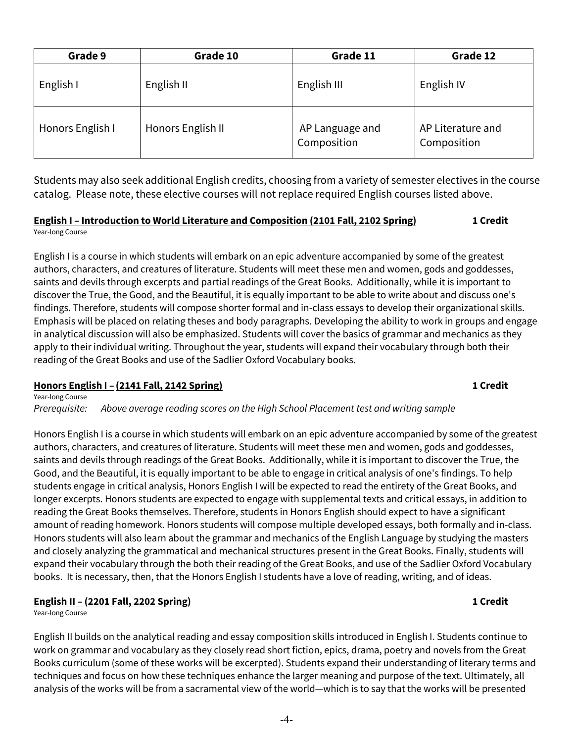| Grade 9          | Grade 10          | Grade 11                       | Grade 12                         |
|------------------|-------------------|--------------------------------|----------------------------------|
| English I        | English II        | English III                    | English IV                       |
| Honors English I | Honors English II | AP Language and<br>Composition | AP Literature and<br>Composition |
|                  |                   |                                |                                  |

Students may also seek additional English credits, choosing from a variety of semester electives in the course catalog. Please note, these elective courses will not replace required English courses listed above.

### **English I – Introduction to World Literature and Composition (2101 Fall, 2102 Spring) 1 Credit** Year-long Course

English I is a course in which students will embark on an epic adventure accompanied by some of the greatest authors, characters, and creatures of literature. Students will meet these men and women, gods and goddesses, saints and devils through excerpts and partial readings of the Great Books. Additionally, while it is important to discover the True, the Good, and the Beautiful, it is equally important to be able to write about and discuss one's findings. Therefore, students will compose shorter formal and in-class essays to develop their organizational skills. Emphasis will be placed on relating theses and body paragraphs. Developing the ability to work in groups and engage in analytical discussion will also be emphasized. Students will cover the basics of grammar and mechanics as they apply to their individual writing. Throughout the year, students will expand their vocabulary through both their reading of the Great Books and use of the Sadlier Oxford Vocabulary books.

### **Honors English I – (2141 Fall, 2142 Spring) 1 Credit** Year-long Course

*Prerequisite: Above average reading scores on the High School Placement test and writing sample*

Honors English I is a course in which students will embark on an epic adventure accompanied by some of the greatest authors, characters, and creatures of literature. Students will meet these men and women, gods and goddesses, saints and devils through readings of the Great Books. Additionally, while it is important to discover the True, the Good, and the Beautiful, it is equally important to be able to engage in critical analysis of one's findings. To help students engage in critical analysis, Honors English I will be expected to read the entirety of the Great Books, and longer excerpts. Honors students are expected to engage with supplemental texts and critical essays, in addition to reading the Great Books themselves. Therefore, students in Honors English should expect to have a significant amount of reading homework. Honors students will compose multiple developed essays, both formally and in-class. Honors students will also learn about the grammar and mechanics of the English Language by studying the masters and closely analyzing the grammatical and mechanical structures present in the Great Books. Finally, students will expand their vocabulary through the both their reading of the Great Books, and use of the Sadlier Oxford Vocabulary books. It is necessary, then, that the Honors English I students have a love of reading, writing, and of ideas.

## **English II – (2201 Fall, 2202 Spring) 1 Credit**

Year-long Course

English II builds on the analytical reading and essay composition skills introduced in English I. Students continue to work on grammar and vocabulary as they closely read short fiction, epics, drama, poetry and novels from the Great Books curriculum (some of these works will be excerpted). Students expand their understanding of literary terms and techniques and focus on how these techniques enhance the larger meaning and purpose of the text. Ultimately, all analysis of the works will be from a sacramental view of the world—which is to say that the works will be presented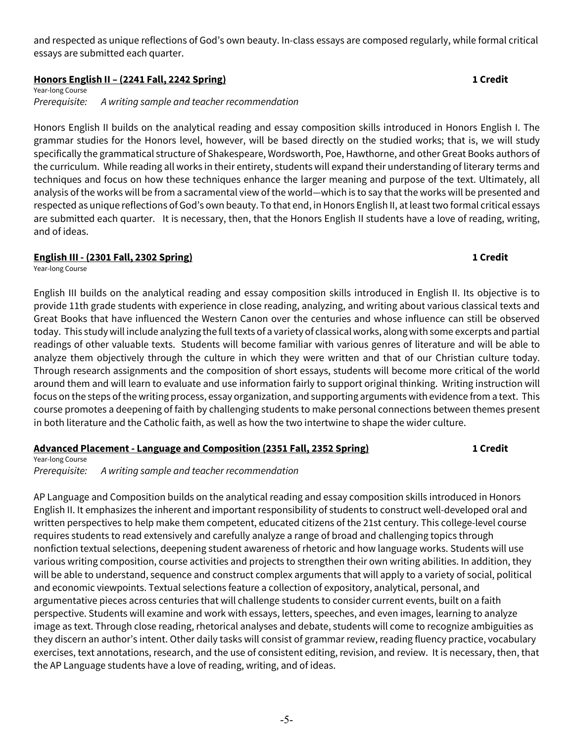and respected as unique reflections of God's own beauty. In-class essays are composed regularly, while formal critical essays are submitted each quarter.

## **Honors English II – (2241 Fall, 2242 Spring) 1 Credit**

Year-long Course *Prerequisite: A writing sample and teacher recommendation*

Honors English II builds on the analytical reading and essay composition skills introduced in Honors English I. The grammar studies for the Honors level, however, will be based directly on the studied works; that is, we will study specifically the grammatical structure of Shakespeare, Wordsworth, Poe, Hawthorne, and other Great Books authors of the curriculum. While reading all works in their entirety, students will expand their understanding of literary terms and techniques and focus on how these techniques enhance the larger meaning and purpose of the text. Ultimately, all analysis of the works will be from a sacramental view of the world—which is to say that the works will be presented and respected as unique reflections of God's own beauty. To that end, in Honors English II, at least two formal critical essays are submitted each quarter. It is necessary, then, that the Honors English II students have a love of reading, writing, and of ideas.

## **English III - (2301 Fall, 2302 Spring) 1 Credit**

Year-long Course

English III builds on the analytical reading and essay composition skills introduced in English II. Its objective is to provide 11th grade students with experience in close reading, analyzing, and writing about various classical texts and Great Books that have influenced the Western Canon over the centuries and whose influence can still be observed today. This study will include analyzing the full texts of a variety of classical works, along with some excerpts and partial readings of other valuable texts. Students will become familiar with various genres of literature and will be able to analyze them objectively through the culture in which they were written and that of our Christian culture today. Through research assignments and the composition of short essays, students will become more critical of the world around them and will learn to evaluate and use information fairly to support original thinking. Writing instruction will focus on the steps of the writing process, essay organization, and supporting arguments with evidence from a text. This course promotes a deepening of faith by challenging students to make personal connections between themes present in both literature and the Catholic faith, as well as how the two intertwine to shape the wider culture.

## **Advanced Placement - Language and Composition (2351 Fall, 2352 Spring) 1 Credit**

Year-long Course *Prerequisite: A writing sample and teacher recommendation*

AP Language and Composition builds on the analytical reading and essay composition skills introduced in Honors English II. It emphasizes the inherent and important responsibility of students to construct well-developed oral and written perspectives to help make them competent, educated citizens of the 21st century. This college-level course requires students to read extensively and carefully analyze a range of broad and challenging topics through nonfiction textual selections, deepening student awareness of rhetoric and how language works. Students will use various writing composition, course activities and projects to strengthen their own writing abilities. In addition, they will be able to understand, sequence and construct complex arguments that will apply to a variety of social, political and economic viewpoints. Textual selections feature a collection of expository, analytical, personal, and argumentative pieces across centuries that will challenge students to consider current events, built on a faith perspective. Students will examine and work with essays, letters, speeches, and even images, learning to analyze image as text. Through close reading, rhetorical analyses and debate, students will come to recognize ambiguities as they discern an author's intent. Other daily tasks will consist of grammar review, reading fluency practice, vocabulary exercises, text annotations, research, and the use of consistent editing, revision, and review. It is necessary, then, that the AP Language students have a love of reading, writing, and of ideas.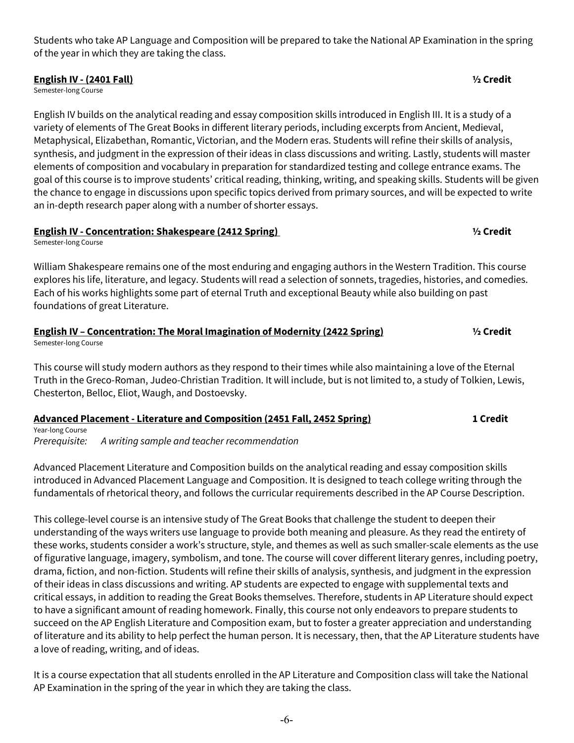Students who take AP Language and Composition will be prepared to take the National AP Examination in the spring of the year in which they are taking the class.

### **English IV - (2401 Fall) ½ Credit**

Semester-long Course

English IV builds on the analytical reading and essay composition skills introduced in English III. It is a study of a variety of elements of The Great Books in different literary periods, including excerpts from Ancient, Medieval, Metaphysical, Elizabethan, Romantic, Victorian, and the Modern eras. Students will refine their skills of analysis, synthesis, and judgment in the expression of their ideas in class discussions and writing. Lastly, students will master elements of composition and vocabulary in preparation for standardized testing and college entrance exams. The goal of this course is to improve students' critical reading, thinking, writing, and speaking skills. Students will be given the chance to engage in discussions upon specific topics derived from primary sources, and will be expected to write an in-depth research paper along with a number of shorter essays.

## **English IV - Concentration: Shakespeare (2412 Spring) ½ Credit**

Semester-long Course

William Shakespeare remains one of the most enduring and engaging authors in the Western Tradition. This course explores his life, literature, and legacy. Students will read a selection of sonnets, tragedies, histories, and comedies. Each of his works highlights some part of eternal Truth and exceptional Beauty while also building on past foundations of great Literature.

### **English IV – Concentration: The Moral Imagination of Modernity (2422 Spring) ½ Credit**  Semester-long Course

This course will study modern authors as they respond to their times while also maintaining a love of the Eternal Truth in the Greco-Roman, Judeo-Christian Tradition. It will include, but is not limited to, a study of Tolkien, Lewis, Chesterton, Belloc, Eliot, Waugh, and Dostoevsky.

## **Advanced Placement - Literature and Composition (2451 Fall, 2452 Spring) 1 Credit**

Year-long Course *Prerequisite: A writing sample and teacher recommendation*

Advanced Placement Literature and Composition builds on the analytical reading and essay composition skills introduced in Advanced Placement Language and Composition. It is designed to teach college writing through the fundamentals of rhetorical theory, and follows the curricular requirements described in the AP Course Description.

This college-level course is an intensive study of The Great Books that challenge the student to deepen their understanding of the ways writers use language to provide both meaning and pleasure. As they read the entirety of these works, students consider a work's structure, style, and themes as well as such smaller-scale elements as the use of figurative language, imagery, symbolism, and tone. The course will cover different literary genres, including poetry, drama, fiction, and non-fiction. Students will refine their skills of analysis, synthesis, and judgment in the expression of their ideas in class discussions and writing. AP students are expected to engage with supplemental texts and critical essays, in addition to reading the Great Books themselves. Therefore, students in AP Literature should expect to have a significant amount of reading homework. Finally, this course not only endeavors to prepare students to succeed on the AP English Literature and Composition exam, but to foster a greater appreciation and understanding of literature and its ability to help perfect the human person. It is necessary, then, that the AP Literature students have a love of reading, writing, and of ideas.

It is a course expectation that all students enrolled in the AP Literature and Composition class will take the National AP Examination in the spring of the year in which they are taking the class.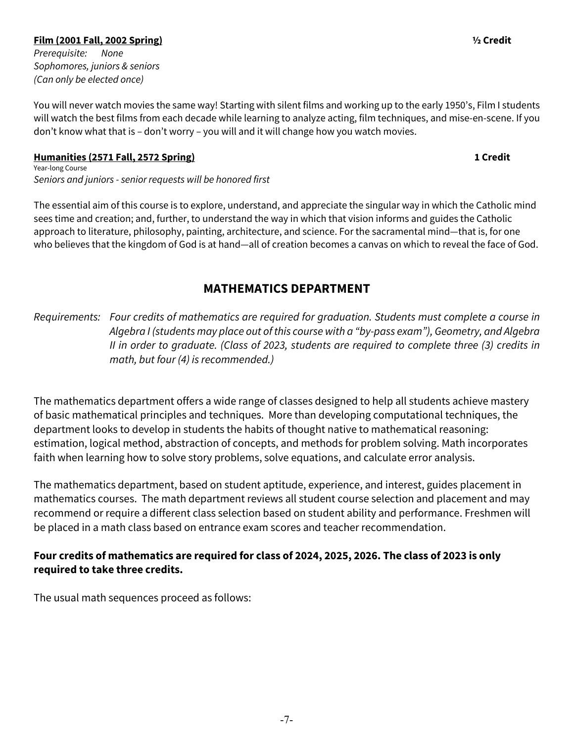## **Film (2001 Fall, 2002 Spring) ½ Credit**

*Prerequisite: None Sophomores, juniors & seniors (Can only be elected once)* 

You will never watch movies the same way! Starting with silent films and working up to the early 1950's, Film I students will watch the best films from each decade while learning to analyze acting, film techniques, and mise-en-scene. If you don't know what that is – don't worry – you will and it will change how you watch movies.

## **Humanities (2571 Fall, 2572 Spring) 1 Credit**

Year-long Course *Seniors and juniors - senior requests will be honored first*

The essential aim of this course is to explore, understand, and appreciate the singular way in which the Catholic mind sees time and creation; and, further, to understand the way in which that vision informs and guides the Catholic approach to literature, philosophy, painting, architecture, and science. For the sacramental mind—that is, for one who believes that the kingdom of God is at hand—all of creation becomes a canvas on which to reveal the face of God.

## **MATHEMATICS DEPARTMENT**

*Requirements: Four credits of mathematics are required for graduation. Students must complete a course in Algebra I (students may place out of this course with a "by-pass exam"), Geometry, and Algebra II in order to graduate. (Class of 2023, students are required to complete three (3) credits in math, but four (4) is recommended.)*

The mathematics department offers a wide range of classes designed to help all students achieve mastery of basic mathematical principles and techniques. More than developing computational techniques, the department looks to develop in students the habits of thought native to mathematical reasoning: estimation, logical method, abstraction of concepts, and methods for problem solving. Math incorporates faith when learning how to solve story problems, solve equations, and calculate error analysis.

The mathematics department, based on student aptitude, experience, and interest, guides placement in mathematics courses. The math department reviews all student course selection and placement and may recommend or require a different class selection based on student ability and performance. Freshmen will be placed in a math class based on entrance exam scores and teacher recommendation.

## **Four credits of mathematics are required for class of 2024, 2025, 2026. The class of 2023 is only required to take three credits.**

The usual math sequences proceed as follows: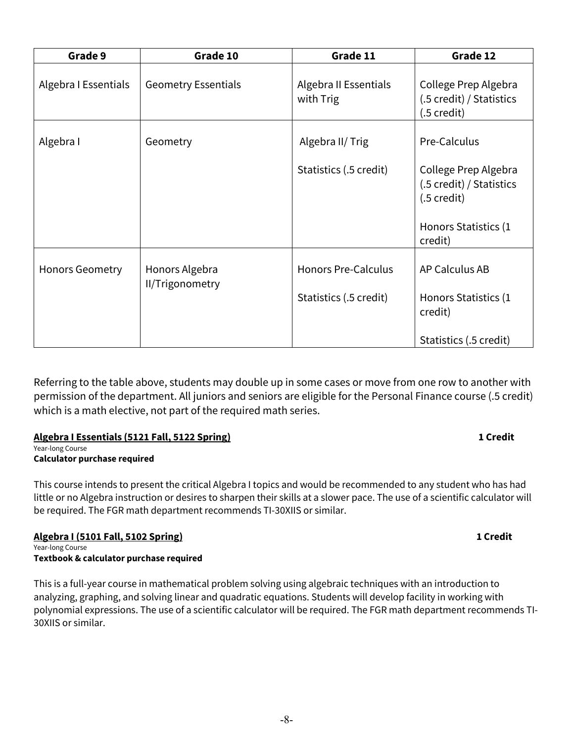| Grade 9                | Grade 10                          | Grade 11                           | Grade 12                                                                   |
|------------------------|-----------------------------------|------------------------------------|----------------------------------------------------------------------------|
| Algebra I Essentials   | <b>Geometry Essentials</b>        | Algebra II Essentials<br>with Trig | College Prep Algebra<br>(.5 credit) / Statistics<br>$(.5 \,\text{credit})$ |
| Algebra I              | Geometry                          | Algebra II/ Trig                   | Pre-Calculus                                                               |
|                        |                                   | Statistics (.5 credit)             | College Prep Algebra<br>(.5 credit) / Statistics<br>$(.5 \text{ credit})$  |
|                        |                                   |                                    | Honors Statistics (1<br>credit)                                            |
| <b>Honors Geometry</b> | Honors Algebra<br>II/Trigonometry | <b>Honors Pre-Calculus</b>         | AP Calculus AB                                                             |
|                        |                                   | Statistics (.5 credit)             | Honors Statistics (1<br>credit)                                            |
|                        |                                   |                                    | Statistics (.5 credit)                                                     |

Referring to the table above, students may double up in some cases or move from one row to another with permission of the department. All juniors and seniors are eligible for the Personal Finance course (.5 credit) which is a math elective, not part of the required math series.

## **Algebra I Essentials (5121 Fall, 5122 Spring) 1 Credit**

Year-long Course **Calculator purchase required** 

This course intends to present the critical Algebra I topics and would be recommended to any student who has had little or no Algebra instruction or desires to sharpen their skills at a slower pace. The use of a scientific calculator will be required. The FGR math department recommends TI-30XIIS or similar.

## **Algebra I (5101 Fall, 5102 Spring) 1 Credit**

Year-long Course **Textbook & calculator purchase required**

This is a full-year course in mathematical problem solving using algebraic techniques with an introduction to analyzing, graphing, and solving linear and quadratic equations. Students will develop facility in working with polynomial expressions. The use of a scientific calculator will be required. The FGR math department recommends TI-30XIIS or similar.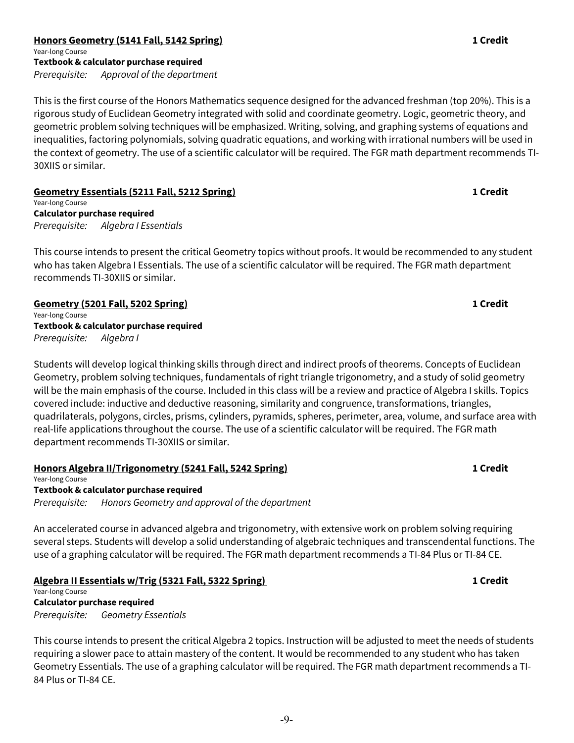### **Honors Geometry (5141 Fall, 5142 Spring) 1 Credit** Year-long Course **Textbook & calculator purchase required** *Prerequisite: Approval of the department*

This is the first course of the Honors Mathematics sequence designed for the advanced freshman (top 20%). This is a rigorous study of Euclidean Geometry integrated with solid and coordinate geometry. Logic, geometric theory, and geometric problem solving techniques will be emphasized. Writing, solving, and graphing systems of equations and inequalities, factoring polynomials, solving quadratic equations, and working with irrational numbers will be used in the context of geometry. The use of a scientific calculator will be required. The FGR math department recommends TI-30XIIS or similar.

**Geometry Essentials (5211 Fall, 5212 Spring) 1 Credit** Year-long Course

**Calculator purchase required** *Prerequisite: Algebra I Essentials* 

This course intends to present the critical Geometry topics without proofs. It would be recommended to any student who has taken Algebra I Essentials. The use of a scientific calculator will be required. The FGR math department recommends TI-30XIIS or similar.

**Geometry (5201 Fall, 5202 Spring) 1 Credit** Year-long Course **Textbook & calculator purchase required** *Prerequisite: Algebra I*

Students will develop logical thinking skills through direct and indirect proofs of theorems. Concepts of Euclidean Geometry, problem solving techniques, fundamentals of right triangle trigonometry, and a study of solid geometry will be the main emphasis of the course. Included in this class will be a review and practice of Algebra I skills. Topics covered include: inductive and deductive reasoning, similarity and congruence, transformations, triangles, quadrilaterals, polygons, circles, prisms, cylinders, pyramids, spheres, perimeter, area, volume, and surface area with real-life applications throughout the course. The use of a scientific calculator will be required. The FGR math department recommends TI-30XIIS or similar.

## **Honors Algebra II/Trigonometry (5241 Fall, 5242 Spring) 1 Credit**

Year-long Course **Textbook & calculator purchase required**

*Prerequisite: Honors Geometry and approval of the department*

An accelerated course in advanced algebra and trigonometry, with extensive work on problem solving requiring several steps. Students will develop a solid understanding of algebraic techniques and transcendental functions. The use of a graphing calculator will be required. The FGR math department recommends a TI-84 Plus or TI-84 CE.

## **Algebra II Essentials w/Trig (5321 Fall, 5322 Spring) 1 Credit**

Year-long Course **Calculator purchase required** *Prerequisite: Geometry Essentials* 

This course intends to present the critical Algebra 2 topics. Instruction will be adjusted to meet the needs of students requiring a slower pace to attain mastery of the content. It would be recommended to any student who has taken Geometry Essentials. The use of a graphing calculator will be required. The FGR math department recommends a TI-84 Plus or TI-84 CE.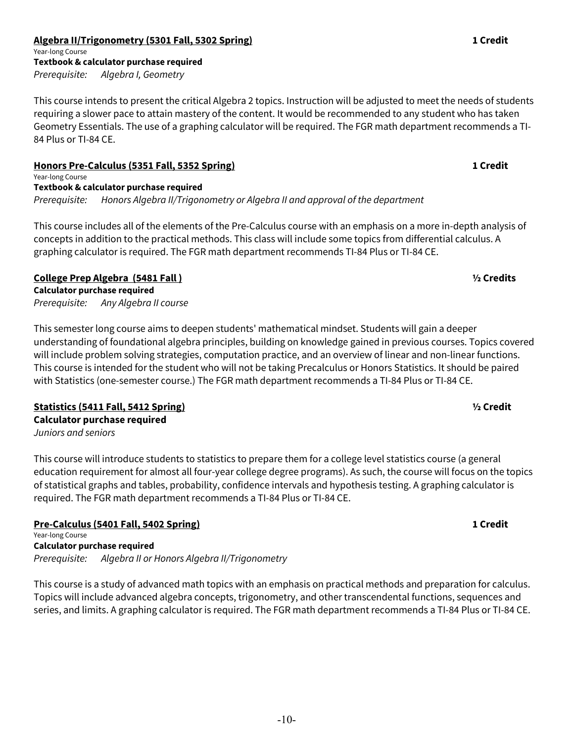## **Algebra II/Trigonometry (5301 Fall, 5302 Spring) 1 Credit**

Year-long Course **Textbook & calculator purchase required** *Prerequisite: Algebra I, Geometry*

This course intends to present the critical Algebra 2 topics. Instruction will be adjusted to meet the needs of students requiring a slower pace to attain mastery of the content. It would be recommended to any student who has taken Geometry Essentials. The use of a graphing calculator will be required. The FGR math department recommends a TI-84 Plus or TI-84 CE.

**Honors Pre-Calculus (5351 Fall, 5352 Spring) 1 Credit** Year-long Course **Textbook & calculator purchase required** *Prerequisite: Honors Algebra II/Trigonometry or Algebra II and approval of the department*

This course includes all of the elements of the Pre-Calculus course with an emphasis on a more in-depth analysis of concepts in addition to the practical methods. This class will include some topics from differential calculus. A graphing calculator is required. The FGR math department recommends TI-84 Plus or TI-84 CE.

## **College Prep Algebra (5481 Fall ) ½ Credits**

**Calculator purchase required**  *Prerequisite: Any Algebra II course*

This semester long course aims to deepen students' mathematical mindset. Students will gain a deeper understanding of foundational algebra principles, building on knowledge gained in previous courses. Topics covered will include problem solving strategies, computation practice, and an overview of linear and non-linear functions. This course is intended for the student who will not be taking Precalculus or Honors Statistics. It should be paired with Statistics (one-semester course.) The FGR math department recommends a TI-84 Plus or TI-84 CE.

**Statistics (5411 Fall, 5412 Spring) ½ Credit Calculator purchase required**  *Juniors and seniors*

This course will introduce students to statistics to prepare them for a college level statistics course (a general education requirement for almost all four-year college degree programs). As such, the course will focus on the topics of statistical graphs and tables, probability, confidence intervals and hypothesis testing. A graphing calculator is required. The FGR math department recommends a TI-84 Plus or TI-84 CE.

**Pre-Calculus (5401 Fall, 5402 Spring) 1 Credit** Year-long Course **Calculator purchase required** *Prerequisite: Algebra II or Honors Algebra II/Trigonometry*

This course is a study of advanced math topics with an emphasis on practical methods and preparation for calculus. Topics will include advanced algebra concepts, trigonometry, and other transcendental functions, sequences and series, and limits. A graphing calculator is required. The FGR math department recommends a TI-84 Plus or TI-84 CE.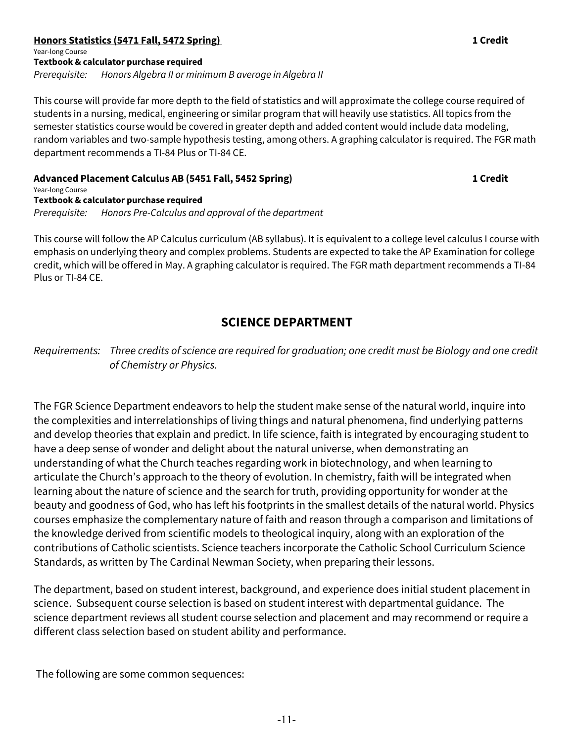## **Honors Statistics (5471 Fall, 5472 Spring) 1 Credit**  Year-long Course **Textbook & calculator purchase required**

*Prerequisite: Honors Algebra II or minimum B average in Algebra II* 

This course will provide far more depth to the field of statistics and will approximate the college course required of students in a nursing, medical, engineering or similar program that will heavily use statistics. All topics from the semester statistics course would be covered in greater depth and added content would include data modeling, random variables and two-sample hypothesis testing, among others. A graphing calculator is required. The FGR math department recommends a TI-84 Plus or TI-84 CE.

### **Advanced Placement Calculus AB (5451 Fall, 5452 Spring) 1 Credit**

Year-long Course **Textbook & calculator purchase required** *Prerequisite: Honors Pre-Calculus and approval of the department*

This course will follow the AP Calculus curriculum (AB syllabus). It is equivalent to a college level calculus I course with emphasis on underlying theory and complex problems. Students are expected to take the AP Examination for college credit, which will be offered in May. A graphing calculator is required. The FGR math department recommends a TI-84 Plus or TI-84 CE.

## **SCIENCE DEPARTMENT**

*Requirements: Three credits of science are required for graduation; one credit must be Biology and one credit of Chemistry or Physics.*

The FGR Science Department endeavors to help the student make sense of the natural world, inquire into the complexities and interrelationships of living things and natural phenomena, find underlying patterns and develop theories that explain and predict. In life science, faith is integrated by encouraging student to have a deep sense of wonder and delight about the natural universe, when demonstrating an understanding of what the Church teaches regarding work in biotechnology, and when learning to articulate the Church's approach to the theory of evolution. In chemistry, faith will be integrated when learning about the nature of science and the search for truth, providing opportunity for wonder at the beauty and goodness of God, who has left his footprints in the smallest details of the natural world. Physics courses emphasize the complementary nature of faith and reason through a comparison and limitations of the knowledge derived from scientific models to theological inquiry, along with an exploration of the contributions of Catholic scientists. Science teachers incorporate the Catholic School Curriculum Science Standards, as written by The Cardinal Newman Society, when preparing their lessons.

The department, based on student interest, background, and experience does initial student placement in science. Subsequent course selection is based on student interest with departmental guidance. The science department reviews all student course selection and placement and may recommend or require a different class selection based on student ability and performance.

The following are some common sequences: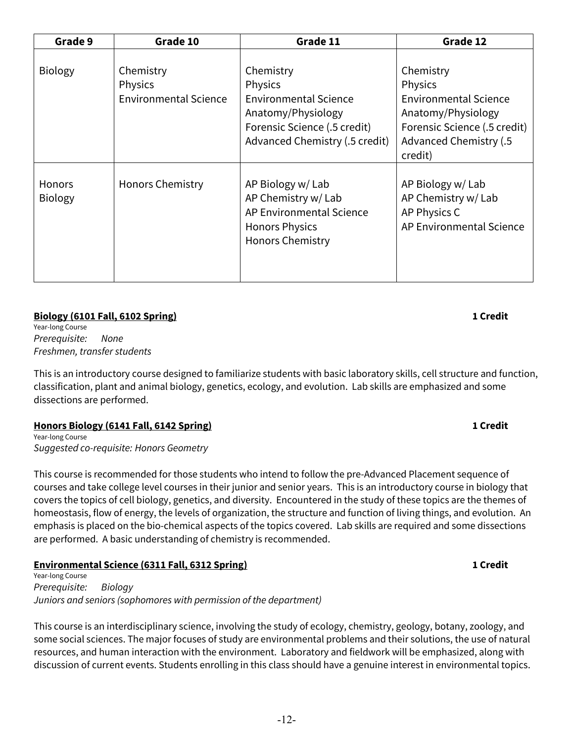| Grade 9                         | Grade 10                                             | Grade 11                                                                                                                                     | Grade 12                                                                                                                                        |
|---------------------------------|------------------------------------------------------|----------------------------------------------------------------------------------------------------------------------------------------------|-------------------------------------------------------------------------------------------------------------------------------------------------|
| <b>Biology</b>                  | Chemistry<br>Physics<br><b>Environmental Science</b> | Chemistry<br>Physics<br><b>Environmental Science</b><br>Anatomy/Physiology<br>Forensic Science (.5 credit)<br>Advanced Chemistry (.5 credit) | Chemistry<br>Physics<br><b>Environmental Science</b><br>Anatomy/Physiology<br>Forensic Science (.5 credit)<br>Advanced Chemistry (.5<br>credit) |
| <b>Honors</b><br><b>Biology</b> | <b>Honors Chemistry</b>                              | AP Biology w/ Lab<br>AP Chemistry w/ Lab<br>AP Environmental Science<br><b>Honors Physics</b><br><b>Honors Chemistry</b>                     | AP Biology w/ Lab<br>AP Chemistry w/ Lab<br>AP Physics C<br>AP Environmental Science                                                            |

## **Biology (6101 Fall, 6102 Spring) 1 Credit**

Year-long Course *Prerequisite: None Freshmen, transfer students*

This is an introductory course designed to familiarize students with basic laboratory skills, cell structure and function, classification, plant and animal biology, genetics, ecology, and evolution. Lab skills are emphasized and some dissections are performed.

## **Honors Biology (6141 Fall, 6142 Spring) 1 Credit**

Year-long Course *Suggested co-requisite: Honors Geometry* 

This course is recommended for those students who intend to follow the pre-Advanced Placement sequence of courses and take college level courses in their junior and senior years. This is an introductory course in biology that covers the topics of cell biology, genetics, and diversity. Encountered in the study of these topics are the themes of homeostasis, flow of energy, the levels of organization, the structure and function of living things, and evolution. An emphasis is placed on the bio-chemical aspects of the topics covered. Lab skills are required and some dissections are performed. A basic understanding of chemistry is recommended.

## **Environmental Science (6311 Fall, 6312 Spring) 1 Credit**

Year-long Course *Prerequisite: Biology Juniors and seniors (sophomores with permission of the department)*

This course is an interdisciplinary science, involving the study of ecology, chemistry, geology, botany, zoology, and some social sciences. The major focuses of study are environmental problems and their solutions, the use of natural resources, and human interaction with the environment. Laboratory and fieldwork will be emphasized, along with discussion of current events. Students enrolling in this class should have a genuine interest in environmental topics.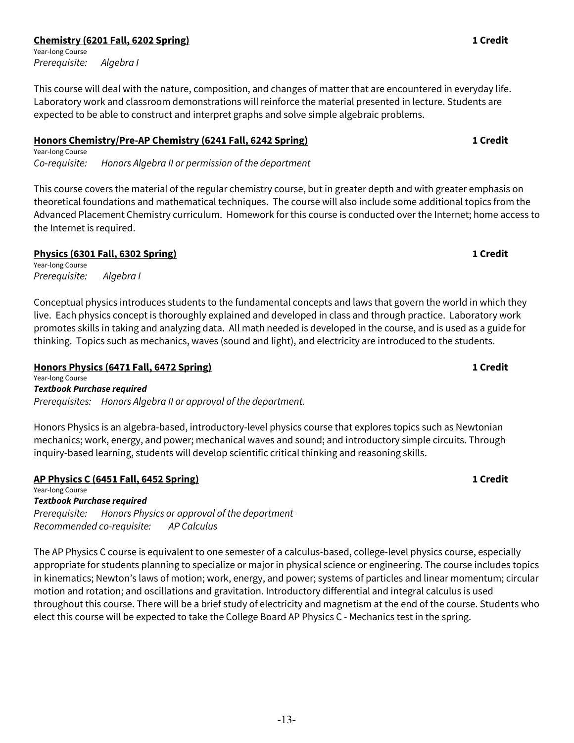## **Chemistry (6201 Fall, 6202 Spring) 1 Credit**

Year-long Course *Prerequisite: Algebra I*

This course will deal with the nature, composition, and changes of matter that are encountered in everyday life. Laboratory work and classroom demonstrations will reinforce the material presented in lecture. Students are expected to be able to construct and interpret graphs and solve simple algebraic problems.

## **Honors Chemistry/Pre-AP Chemistry (6241 Fall, 6242 Spring) 1 Credit**

Year-long Course *Co-requisite: Honors Algebra II or permission of the department*

This course covers the material of the regular chemistry course, but in greater depth and with greater emphasis on theoretical foundations and mathematical techniques. The course will also include some additional topics from the Advanced Placement Chemistry curriculum. Homework for this course is conducted over the Internet; home access to the Internet is required.

## **Physics (6301 Fall, 6302 Spring) 1 Credit**

Year-long Course *Prerequisite: Algebra I*

Conceptual physics introduces students to the fundamental concepts and laws that govern the world in which they live. Each physics concept is thoroughly explained and developed in class and through practice. Laboratory work promotes skills in taking and analyzing data. All math needed is developed in the course, and is used as a guide for thinking. Topics such as mechanics, waves (sound and light), and electricity are introduced to the students.

## **Honors Physics (6471 Fall, 6472 Spring) 1 Credit**

Year-long Course *Textbook Purchase required Prerequisites: Honors Algebra II or approval of the department.*

Honors Physics is an algebra-based, introductory-level physics course that explores topics such as Newtonian mechanics; work, energy, and power; mechanical waves and sound; and introductory simple circuits. Through inquiry-based learning, students will develop scientific critical thinking and reasoning skills.

## **AP Physics C (6451 Fall, 6452 Spring) 1 Credit**

Year-long Course *Textbook Purchase required Prerequisite: Honors Physics or approval of the department Recommended co-requisite: AP Calculus* 

The AP Physics C course is equivalent to one semester of a calculus-based, college-level physics course, especially appropriate for students planning to specialize or major in physical science or engineering. The course includes topics in kinematics; Newton's laws of motion; work, energy, and power; systems of particles and linear momentum; circular motion and rotation; and oscillations and gravitation. Introductory differential and integral calculus is used throughout this course. There will be a brief study of electricity and magnetism at the end of the course. Students who elect this course will be expected to take the College Board AP Physics C - Mechanics test in the spring.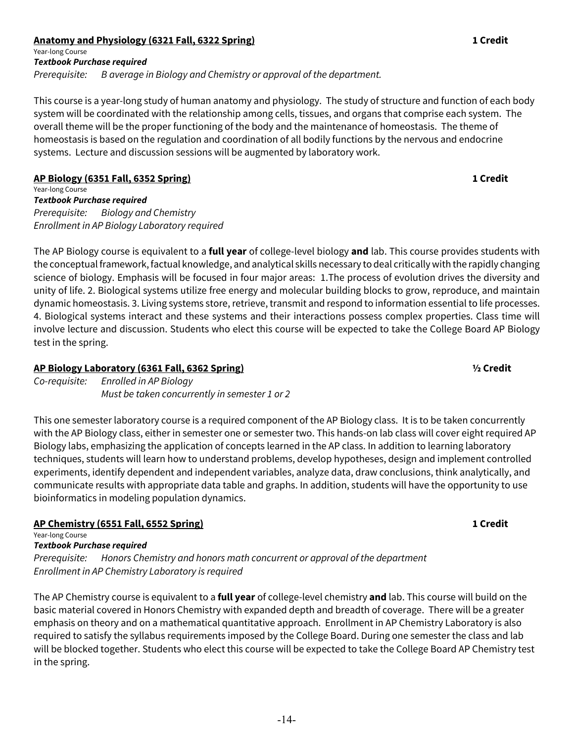## **Anatomy and Physiology (6321 Fall, 6322 Spring) 1 Credit**

Year-long Course *Textbook Purchase required Prerequisite: B average in Biology and Chemistry or approval of the department.*

This course is a year-long study of human anatomy and physiology. The study of structure and function of each body system will be coordinated with the relationship among cells, tissues, and organs that comprise each system. The overall theme will be the proper functioning of the body and the maintenance of homeostasis. The theme of homeostasis is based on the regulation and coordination of all bodily functions by the nervous and endocrine systems. Lecture and discussion sessions will be augmented by laboratory work.

## **AP Biology (6351 Fall, 6352 Spring) 1 Credit**

Year-long Course *Textbook Purchase required Prerequisite: Biology and Chemistry Enrollment in AP Biology Laboratory required*

The AP Biology course is equivalent to a **full year** of college-level biology **and** lab. This course provides students with the conceptual framework, factual knowledge, and analytical skills necessary to deal critically with the rapidly changing science of biology. Emphasis will be focused in four major areas: 1.The process of evolution drives the diversity and unity of life. 2. Biological systems utilize free energy and molecular building blocks to grow, reproduce, and maintain dynamic homeostasis. 3. Living systems store, retrieve, transmit and respond to information essential to life processes. 4. Biological systems interact and these systems and their interactions possess complex properties. Class time will involve lecture and discussion. Students who elect this course will be expected to take the College Board AP Biology test in the spring.

## **AP Biology Laboratory (6361 Fall, 6362 Spring) ½ Credit**

*Co-requisite: Enrolled in AP Biology Must be taken concurrently in semester 1 or 2*

This one semester laboratory course is a required component of the AP Biology class. It is to be taken concurrently with the AP Biology class, either in semester one or semester two. This hands-on lab class will cover eight required AP Biology labs, emphasizing the application of concepts learned in the AP class. In addition to learning laboratory techniques, students will learn how to understand problems, develop hypotheses, design and implement controlled experiments, identify dependent and independent variables, analyze data, draw conclusions, think analytically, and communicate results with appropriate data table and graphs. In addition, students will have the opportunity to use bioinformatics in modeling population dynamics.

## **AP Chemistry (6551 Fall, 6552 Spring) 1 Credit**

Year-long Course

*Textbook Purchase required*

*Prerequisite: Honors Chemistry and honors math concurrent or approval of the department Enrollment in AP Chemistry Laboratory is required*

The AP Chemistry course is equivalent to a **full year** of college-level chemistry **and** lab. This course will build on the basic material covered in Honors Chemistry with expanded depth and breadth of coverage. There will be a greater emphasis on theory and on a mathematical quantitative approach. Enrollment in AP Chemistry Laboratory is also required to satisfy the syllabus requirements imposed by the College Board. During one semester the class and lab will be blocked together. Students who elect this course will be expected to take the College Board AP Chemistry test in the spring.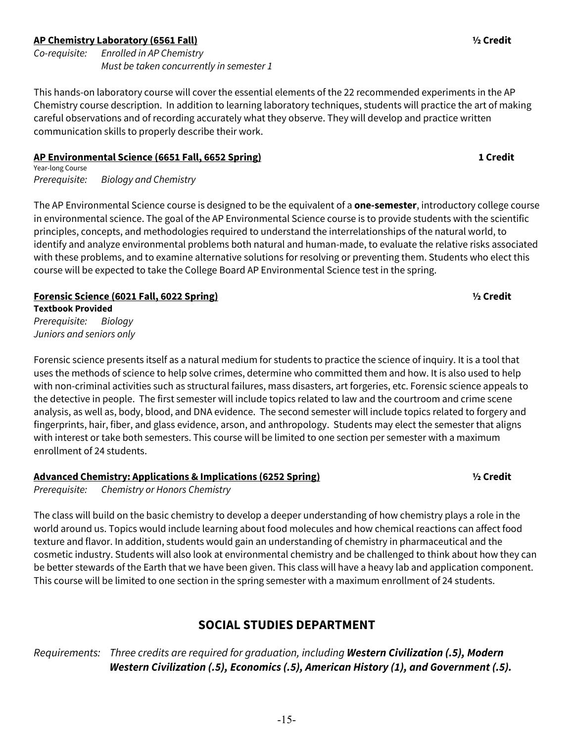## **AP Chemistry Laboratory (6561 Fall) ½ Credit**

*Co-requisite: Enrolled in AP Chemistry Must be taken concurrently in semester 1*

This hands-on laboratory course will cover the essential elements of the 22 recommended experiments in the AP Chemistry course description. In addition to learning laboratory techniques, students will practice the art of making careful observations and of recording accurately what they observe. They will develop and practice written communication skills to properly describe their work.

## **AP Environmental Science (6651 Fall, 6652 Spring) 1 Credit**

Year-long Course *Prerequisite: Biology and Chemistry*

The AP Environmental Science course is designed to be the equivalent of a **one-semester**, introductory college course in environmental science. The goal of the AP Environmental Science course is to provide students with the scientific principles, concepts, and methodologies required to understand the interrelationships of the natural world, to identify and analyze environmental problems both natural and human-made, to evaluate the relative risks associated with these problems, and to examine alternative solutions for resolving or preventing them. Students who elect this course will be expected to take the College Board AP Environmental Science test in the spring.

**Forensic Science (6021 Fall, 6022 Spring) ½ Credit Textbook Provided** *Prerequisite: Biology Juniors and seniors only*

Forensic science presents itself as a natural medium for students to practice the science of inquiry. It is a tool that uses the methods of science to help solve crimes, determine who committed them and how. It is also used to help with non-criminal activities such as structural failures, mass disasters, art forgeries, etc. Forensic science appeals to the detective in people. The first semester will include topics related to law and the courtroom and crime scene analysis, as well as, body, blood, and DNA evidence. The second semester will include topics related to forgery and fingerprints, hair, fiber, and glass evidence, arson, and anthropology. Students may elect the semester that aligns with interest or take both semesters. This course will be limited to one section per semester with a maximum enrollment of 24 students.

## **Advanced Chemistry: Applications & Implications (6252 Spring) ½ Credit**

*Prerequisite: Chemistry or Honors Chemistry*

The class will build on the basic chemistry to develop a deeper understanding of how chemistry plays a role in the world around us. Topics would include learning about food molecules and how chemical reactions can affect food texture and flavor. In addition, students would gain an understanding of chemistry in pharmaceutical and the cosmetic industry. Students will also look at environmental chemistry and be challenged to think about how they can be better stewards of the Earth that we have been given. This class will have a heavy lab and application component. This course will be limited to one section in the spring semester with a maximum enrollment of 24 students.

## **SOCIAL STUDIES DEPARTMENT**

*Requirements: Three credits are required for graduation, including Western Civilization (.5), Modern Western Civilization (.5), Economics (.5), American History (1), and Government (.5).*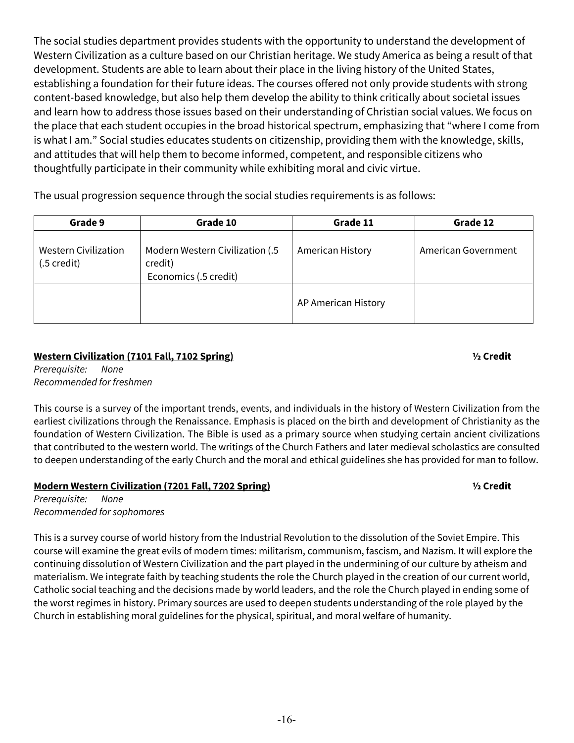The social studies department provides students with the opportunity to understand the development of Western Civilization as a culture based on our Christian heritage. We study America as being a result of that development. Students are able to learn about their place in the living history of the United States, establishing a foundation for their future ideas. The courses offered not only provide students with strong content-based knowledge, but also help them develop the ability to think critically about societal issues and learn how to address those issues based on their understanding of Christian social values. We focus on the place that each student occupies in the broad historical spectrum, emphasizing that "where I come from is what I am." Social studies educates students on citizenship, providing them with the knowledge, skills, and attitudes that will help them to become informed, competent, and responsible citizens who thoughtfully participate in their community while exhibiting moral and civic virtue.

The usual progression sequence through the social studies requirements is as follows:

| Grade 9                                    | Grade 10                                                            | Grade 11            | Grade 12            |
|--------------------------------------------|---------------------------------------------------------------------|---------------------|---------------------|
| <b>Western Civilization</b><br>(.5 credit) | Modern Western Civilization (.5<br>credit)<br>Economics (.5 credit) | American History    | American Government |
|                                            |                                                                     | AP American History |                     |

## **Western Civilization (7101 Fall, 7102 Spring) ½ Credit**

*Prerequisite: None Recommended for freshmen*

This course is a survey of the important trends, events, and individuals in the history of Western Civilization from the earliest civilizations through the Renaissance. Emphasis is placed on the birth and development of Christianity as the foundation of Western Civilization. The Bible is used as a primary source when studying certain ancient civilizations that contributed to the western world. The writings of the Church Fathers and later medieval scholastics are consulted to deepen understanding of the early Church and the moral and ethical guidelines she has provided for man to follow.

## **Modern Western Civilization (7201 Fall, 7202 Spring) ½ Credit**

*Prerequisite: None Recommended for sophomores*

This is a survey course of world history from the Industrial Revolution to the dissolution of the Soviet Empire. This course will examine the great evils of modern times: militarism, communism, fascism, and Nazism. It will explore the continuing dissolution of Western Civilization and the part played in the undermining of our culture by atheism and materialism. We integrate faith by teaching students the role the Church played in the creation of our current world, Catholic social teaching and the decisions made by world leaders, and the role the Church played in ending some of the worst regimes in history. Primary sources are used to deepen students understanding of the role played by the Church in establishing moral guidelines for the physical, spiritual, and moral welfare of humanity.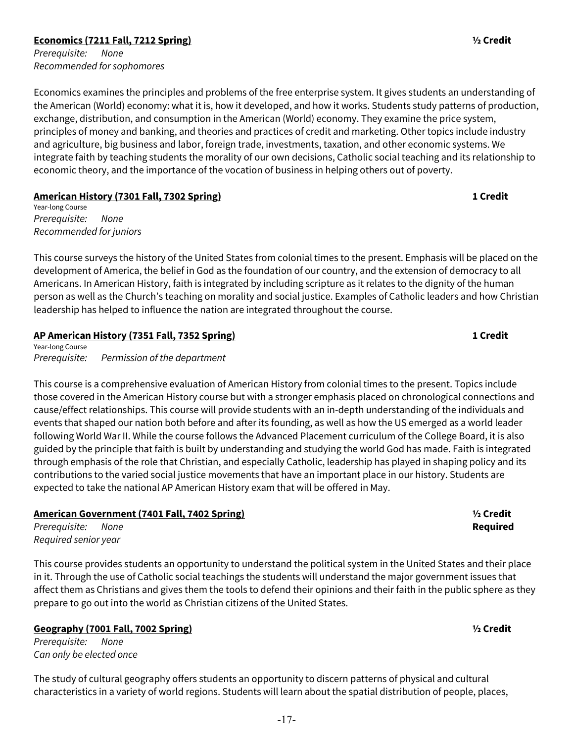## **Economics (7211 Fall, 7212 Spring) ½ Credit**

*Prerequisite: None Recommended for sophomores*

Economics examines the principles and problems of the free enterprise system. It gives students an understanding of the American (World) economy: what it is, how it developed, and how it works. Students study patterns of production, exchange, distribution, and consumption in the American (World) economy. They examine the price system, principles of money and banking, and theories and practices of credit and marketing. Other topics include industry and agriculture, big business and labor, foreign trade, investments, taxation, and other economic systems. We integrate faith by teaching students the morality of our own decisions, Catholic social teaching and its relationship to economic theory, and the importance of the vocation of business in helping others out of poverty.

## **American History (7301 Fall, 7302 Spring) 1 Credit**

Year-long Course *Prerequisite: None Recommended for juniors*

This course surveys the history of the United States from colonial times to the present. Emphasis will be placed on the development of America, the belief in God as the foundation of our country, and the extension of democracy to all Americans. In American History, faith is integrated by including scripture as it relates to the dignity of the human person as well as the Church's teaching on morality and social justice. Examples of Catholic leaders and how Christian leadership has helped to influence the nation are integrated throughout the course.

## **AP American History (7351 Fall, 7352 Spring) 1 Credit**

Year-long Course *Prerequisite: Permission of the department*

This course is a comprehensive evaluation of American History from colonial times to the present. Topics include those covered in the American History course but with a stronger emphasis placed on chronological connections and cause/effect relationships. This course will provide students with an in-depth understanding of the individuals and events that shaped our nation both before and after its founding, as well as how the US emerged as a world leader following World War II. While the course follows the Advanced Placement curriculum of the College Board, it is also guided by the principle that faith is built by understanding and studying the world God has made. Faith is integrated through emphasis of the role that Christian, and especially Catholic, leadership has played in shaping policy and its contributions to the varied social justice movements that have an important place in our history. Students are expected to take the national AP American History exam that will be offered in May.

## **American Government (7401 Fall, 7402 Spring) ½ Credit**

*Prerequisite: None* **Required** *Required senior year*

This course provides students an opportunity to understand the political system in the United States and their place in it. Through the use of Catholic social teachings the students will understand the major government issues that affect them as Christians and gives them the tools to defend their opinions and their faith in the public sphere as they prepare to go out into the world as Christian citizens of the United States.

## **Geography (7001 Fall, 7002 Spring) ½ Credit**

*Prerequisite: None Can only be elected once*

[The study of cultural geography offers students an opportunity to discern patterns of physical and cultural](https://y/)  [characteristics in a variety of world regions. Students will learn about the spatial distribution of people, places,](https://y/) 

-17-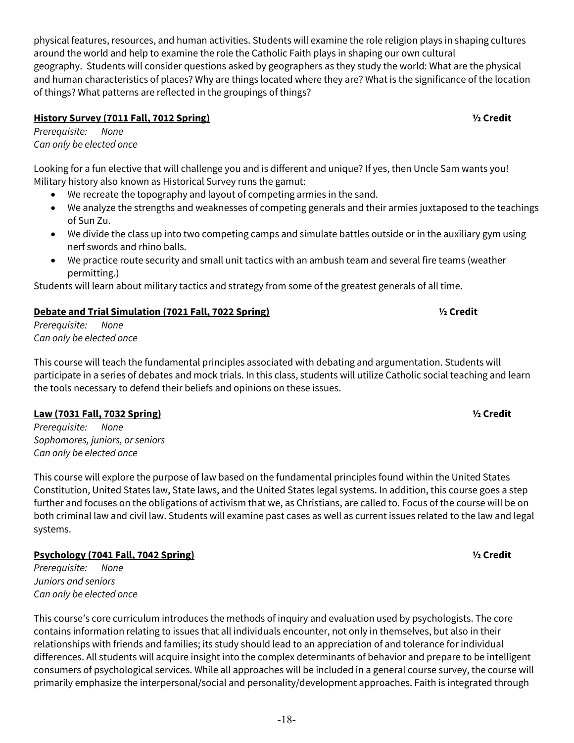[physical features, resources, and human activities. Students will examine the role religion plays in shaping cultures](https://y/)  [around the world and help to examine the role the Catholic Faith plays in shaping our own cultural](https://y/)  geography. Students will consider [questions asked by geographers as they study the world: What are the physical](https://y/)  [and human characteristics of places? Why are things located where they are? What is the significance of the location](https://y/)  [of things? What patterns are reflected in the groupings of things?](https://y/)

## **History Survey (7011 Fall, 7012 Spring) ½ Credit**

*Prerequisite: None Can only be elected once*

Looking for a fun elective that will challenge you and is different and unique? If yes, then Uncle Sam wants you! Military history also known as Historical Survey runs the gamut:

- We recreate the topography and layout of competing armies in the sand.
- We analyze the strengths and weaknesses of competing generals and their armies juxtaposed to the teachings of Sun Zu.
- We divide the class up into two competing camps and simulate battles outside or in the auxiliary gym using nerf swords and rhino balls.
- We practice route security and small unit tactics with an ambush team and several fire teams (weather permitting.)

Students will learn about military tactics and strategy from some of the greatest generals of all time.

## **Debate and Trial Simulation (7021 Fall, 7022 Spring) ½ Credit**

*Prerequisite: None Can only be elected once*

This course will teach the fundamental principles associated with debating and argumentation. Students will participate in a series of debates and mock trials. In this class, students will utilize Catholic social teaching and learn the tools necessary to defend their beliefs and opinions on these issues.

## **Law (7031 Fall, 7032 Spring) ½ Credit**

*Prerequisite: None Sophomores, juniors, or seniors Can only be elected once*

This course will explore the purpose of law based on the fundamental principles found within the United States Constitution, United States law, State laws, and the United States legal systems. In addition, this course goes a step further and focuses on the obligations of activism that we, as Christians, are called to. Focus of the course will be on both criminal law and civil law. Students will examine past cases as well as current issues related to the law and legal systems.

## **Psychology (7041 Fall, 7042 Spring) ½ Credit**

*Prerequisite: None Juniors and seniors Can only be elected once*

This course's core curriculum introduces the methods of inquiry and evaluation used by psychologists. The core contains information relating to issues that all individuals encounter, not only in themselves, but also in their relationships with friends and families; its study should lead to an appreciation of and tolerance for individual differences. All students will acquire insight into the complex determinants of behavior and prepare to be intelligent consumers of psychological services. While all approaches will be included in a general course survey, the course will primarily emphasize the interpersonal/social and personality/development approaches. Faith is integrated through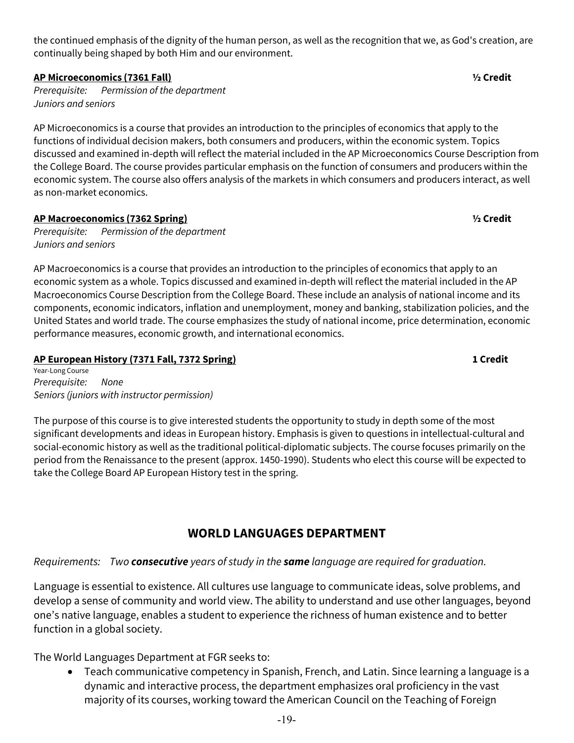the continued emphasis of the dignity of the human person, as well as the recognition that we, as God's creation, are continually being shaped by both Him and our environment.

## **AP Microeconomics (7361 Fall) ½ Credit**

*Prerequisite: Permission of the department Juniors and seniors*

AP Microeconomics is a course that provides an introduction to the principles of economics that apply to the functions of individual decision makers, both consumers and producers, within the economic system. Topics discussed and examined in-depth will reflect the material included in the AP Microeconomics Course Description from the College Board. The course provides particular emphasis on the function of consumers and producers within the economic system. The course also offers analysis of the markets in which consumers and producers interact, as well as non-market economics.

## **AP Macroeconomics (7362 Spring) ½ Credit**

*Prerequisite: Permission of the department Juniors and seniors* 

AP Macroeconomics is a course that provides an introduction to the principles of economics that apply to an economic system as a whole. Topics discussed and examined in-depth will reflect the material included in the AP Macroeconomics Course Description from the College Board. These include an analysis of national income and its components, economic indicators, inflation and unemployment, money and banking, stabilization policies, and the United States and world trade. The course emphasizes the study of national income, price determination, economic performance measures, economic growth, and international economics.

## **AP European History (7371 Fall, 7372 Spring) 1 Credit**

Year-Long Course *Prerequisite: None Seniors (juniors with instructor permission)*

The purpose of this course is to give interested students the opportunity to study in depth some of the most significant developments and ideas in European history. Emphasis is given to questions in intellectual-cultural and social-economic history as well as the traditional political-diplomatic subjects. The course focuses primarily on the period from the Renaissance to the present (approx. 1450-1990). Students who elect this course will be expected to take the College Board AP European History test in the spring.

## **WORLD LANGUAGES DEPARTMENT**

## *Requirements: Two consecutive years of study in the same language are required for graduation.*

Language is essential to existence. All cultures use language to communicate ideas, solve problems, and develop a sense of community and world view. The ability to understand and use other languages, beyond one's native language, enables a student to experience the richness of human existence and to better function in a global society.

The World Languages Department at FGR seeks to:

• Teach communicative competency in Spanish, French, and Latin. Since learning a language is a dynamic and interactive process, the department emphasizes oral proficiency in the vast majority of its courses, working toward the American Council on the Teaching of Foreign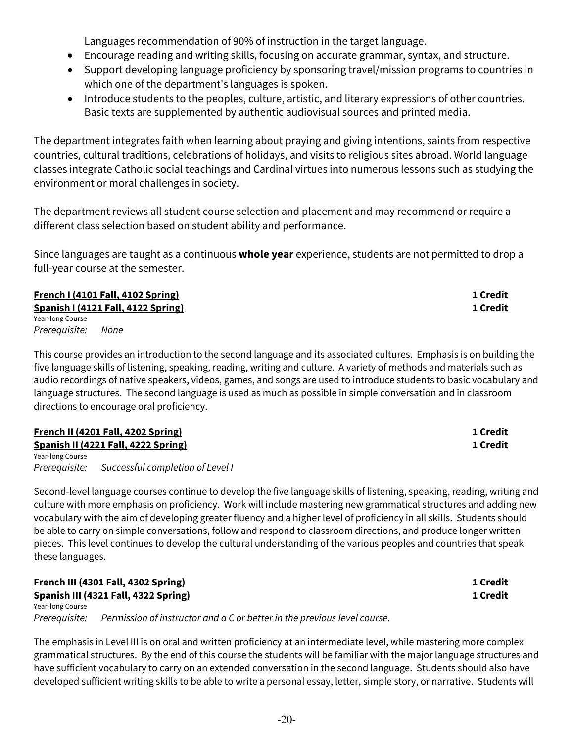Languages recommendation of 90% of instruction in the target language.

- Encourage reading and writing skills, focusing on accurate grammar, syntax, and structure.
- Support developing language proficiency by sponsoring travel/mission programs to countries in which one of the department's languages is spoken.
- Introduce students to the peoples, culture, artistic, and literary expressions of other countries. Basic texts are supplemented by authentic audiovisual sources and printed media.

The department integrates faith when learning about praying and giving intentions, saints from respective countries, cultural traditions, celebrations of holidays, and visits to religious sites abroad. World language classes integrate Catholic social teachings and Cardinal virtues into numerous lessons such as studying the environment or moral challenges in society.

The department reviews all student course selection and placement and may recommend or require a different class selection based on student ability and performance.

Since languages are taught as a continuous **whole year** experience, students are not permitted to drop a full-year course at the semester.

**French I (4101 Fall, 4102 Spring) 1 Credit Spanish I (4121 Fall, 4122 Spring) 1 Credit** Year-long Course *Prerequisite: None*

This course provides an introduction to the second language and its associated cultures. Emphasis is on building the five language skills of listening, speaking, reading, writing and culture. A variety of methods and materials such as audio recordings of native speakers, videos, games, and songs are used to introduce students to basic vocabulary and language structures. The second language is used as much as possible in simple conversation and in classroom directions to encourage oral proficiency.

**French II (4201 Fall, 4202 Spring) 1 Credit Spanish II (4221 Fall, 4222 Spring) 1 Credit** Year-long Course *Prerequisite: Successful completion of Level I*

Second-level language courses continue to develop the five language skills of listening, speaking, reading, writing and culture with more emphasis on proficiency. Work will include mastering new grammatical structures and adding new vocabulary with the aim of developing greater fluency and a higher level of proficiency in all skills. Students should be able to carry on simple conversations, follow and respond to classroom directions, and produce longer written pieces. This level continues to develop the cultural understanding of the various peoples and countries that speak these languages.

| French III (4301 Fall, 4302 Spring)<br>Spanish III (4321 Fall, 4322 Spring) |                                                                          | 1 Credit |  |
|-----------------------------------------------------------------------------|--------------------------------------------------------------------------|----------|--|
|                                                                             |                                                                          | 1 Credit |  |
| Year-long Course                                                            |                                                                          |          |  |
| Prerequisite:                                                               | Permission of instructor and a C or better in the previous level course. |          |  |

The emphasis in Level III is on oral and written proficiency at an intermediate level, while mastering more complex grammatical structures. By the end of this course the students will be familiar with the major language structures and have sufficient vocabulary to carry on an extended conversation in the second language. Students should also have developed sufficient writing skills to be able to write a personal essay, letter, simple story, or narrative. Students will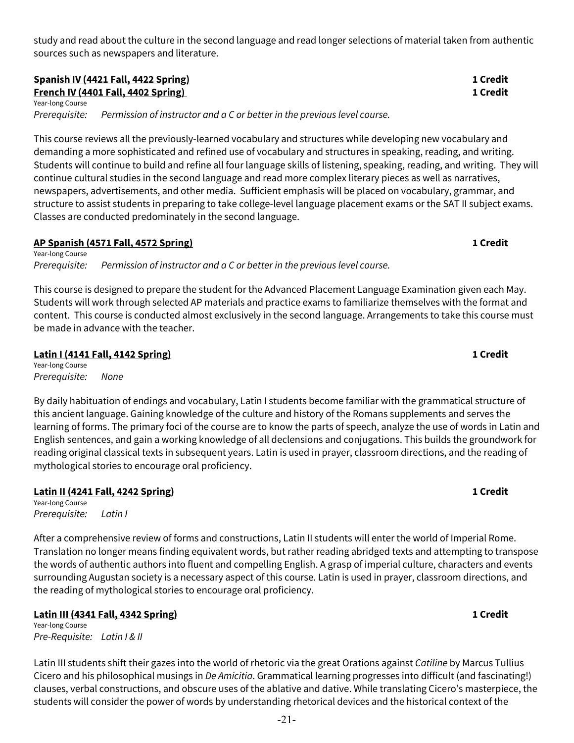study and read about the culture in the second language and read longer selections of material taken from authentic sources such as newspapers and literature.

## **Spanish IV (4421 Fall, 4422 Spring) 1 Credit French IV (4401 Fall, 4402 Spring)** 1 **Credit**

Year-long Course

*Prerequisite: Permission of instructor and a C or better in the previous level course.*

This course reviews all the previously-learned vocabulary and structures while developing new vocabulary and demanding a more sophisticated and refined use of vocabulary and structures in speaking, reading, and writing. Students will continue to build and refine all four language skills of listening, speaking, reading, and writing. They will continue cultural studies in the second language and read more complex literary pieces as well as narratives, newspapers, advertisements, and other media. Sufficient emphasis will be placed on vocabulary, grammar, and structure to assist students in preparing to take college-level language placement exams or the SAT II subject exams. Classes are conducted predominately in the second language.

### **AP Spanish (4571 Fall, 4572 Spring) 1 Credit** Year-long Course

*Prerequisite: Permission of instructor and a C or better in the previous level course.* 

This course is designed to prepare the student for the Advanced Placement Language Examination given each May. Students will work through selected AP materials and practice exams to familiarize themselves with the format and content. This course is conducted almost exclusively in the second language. Arrangements to take this course must be made in advance with the teacher.

## **Latin I (4141 Fall, 4142 Spring) 1 Credit**

Year-long Course *Prerequisite: None*

By daily habituation of endings and vocabulary, Latin I students become familiar with the grammatical structure of this ancient language. Gaining knowledge of the culture and history of the Romans supplements and serves the learning of forms. The primary foci of the course are to know the parts of speech, analyze the use of words in Latin and English sentences, and gain a working knowledge of all declensions and conjugations. This builds the groundwork for reading original classical texts in subsequent years. Latin is used in prayer, classroom directions, and the reading of mythological stories to encourage oral proficiency.

## **Latin II (4241 Fall, 4242 Spring) 1 Credit**

Year-long Course *Prerequisite: Latin I*

After a comprehensive review of forms and constructions, Latin II students will enter the world of Imperial Rome. Translation no longer means finding equivalent words, but rather reading abridged texts and attempting to transpose the words of authentic authors into fluent and compelling English. A grasp of imperial culture, characters and events surrounding Augustan society is a necessary aspect of this course. Latin is used in prayer, classroom directions, and the reading of mythological stories to encourage oral proficiency.

## **Latin III (4341 Fall, 4342 Spring) 1 Credit**

Year-long Course *Pre-Requisite: Latin I & II*

Latin III students shift their gazes into the world of rhetoric via the great Orations against *Catiline* by Marcus Tullius Cicero and his philosophical musings in *De Amicitia*. Grammatical learning progresses into difficult (and fascinating!) clauses, verbal constructions, and obscure uses of the ablative and dative. While translating Cicero's masterpiece, the students will consider the power of words by understanding rhetorical devices and the historical context of the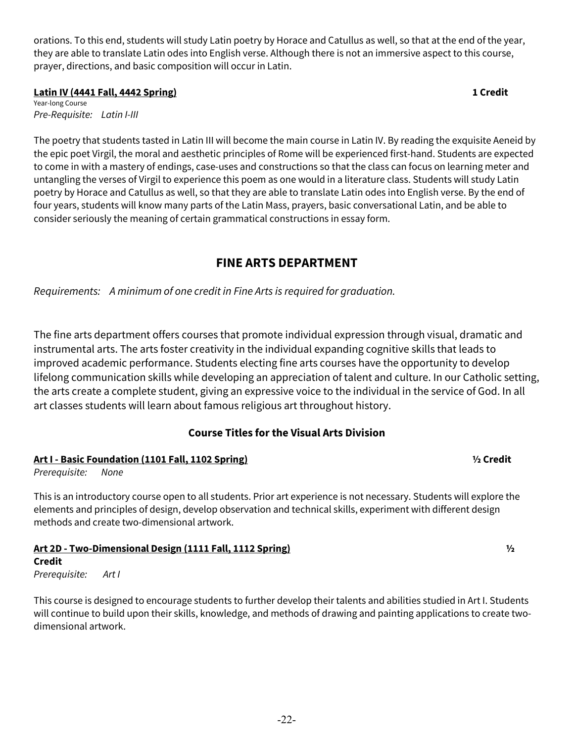orations. To this end, students will study Latin poetry by Horace and Catullus as well, so that at the end of the year, they are able to translate Latin odes into English verse. Although there is not an immersive aspect to this course, prayer, directions, and basic composition will occur in Latin.

## **Latin IV (4441 Fall, 4442 Spring) 1 Credit**

Year-long Course *Pre-Requisite: Latin I-III*

The poetry that students tasted in Latin III will become the main course in Latin IV. By reading the exquisite Aeneid by the epic poet Virgil, the moral and aesthetic principles of Rome will be experienced first-hand. Students are expected to come in with a mastery of endings, case-uses and constructions so that the class can focus on learning meter and untangling the verses of Virgil to experience this poem as one would in a literature class. Students will study Latin poetry by Horace and Catullus as well, so that they are able to translate Latin odes into English verse. By the end of four years, students will know many parts of the Latin Mass, prayers, basic conversational Latin, and be able to consider seriously the meaning of certain grammatical constructions in essay form.

## **FINE ARTS DEPARTMENT**

*Requirements: A minimum of one credit in Fine Arts is required for graduation.*

The fine arts department offers courses that promote individual expression through visual, dramatic and instrumental arts. The arts foster creativity in the individual expanding cognitive skills that leads to improved academic performance. Students electing fine arts courses have the opportunity to develop lifelong communication skills while developing an appreciation of talent and culture. In our Catholic setting, the arts create a complete student, giving an expressive voice to the individual in the service of God. In all art classes students will learn about famous religious art throughout history.

## **Course Titles for the Visual Arts Division**

## **Art I - Basic Foundation (1101 Fall, 1102 Spring) ½ Credit**

*Prerequisite: None* 

This is an introductory course open to all students. Prior art experience is not necessary. Students will explore the elements and principles of design, develop observation and technical skills, experiment with different design methods and create two-dimensional artwork.

## **Art 2D - Two-Dimensional Design (1111 Fall, 1112 Spring) ½**

## **Credit**

*Prerequisite: Art I*

This course is designed to encourage students to further develop their talents and abilities studied in Art I. Students will continue to build upon their skills, knowledge, and methods of drawing and painting applications to create twodimensional artwork.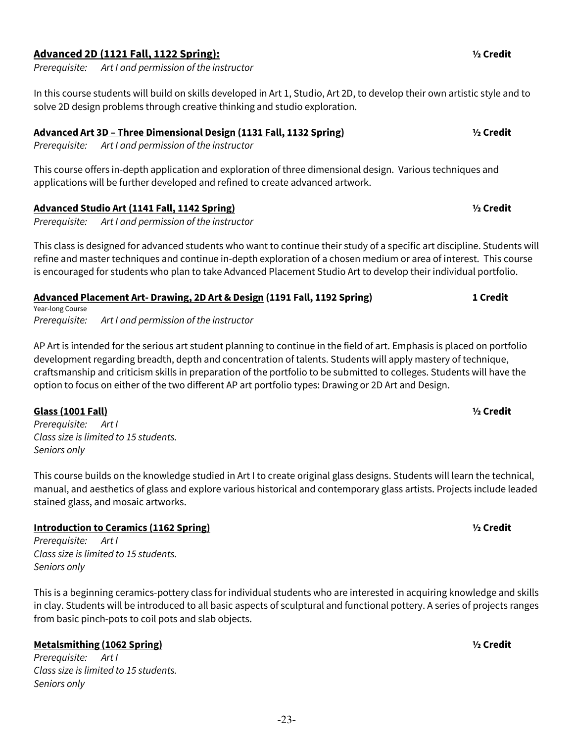## **Advanced 2D (1121 Fall, 1122 Spring): ½ Credit**

*Prerequisite: Art I and permission of the instructor*

In this course students will build on skills developed in Art 1, Studio, Art 2D, to develop their own artistic style and to solve 2D design problems through creative thinking and studio exploration.

## **Advanced Art 3D – Three Dimensional Design (1131 Fall, 1132 Spring) ½ Credit**

*Prerequisite: Art I and permission of the instructor*

This course offers in-depth application and exploration of three dimensional design. Various techniques and applications will be further developed and refined to create advanced artwork.

## **Advanced Studio Art (1141 Fall, 1142 Spring) ½ Credit**

*Prerequisite: Art I and permission of the instructor*

This class is designed for advanced students who want to continue their study of a specific art discipline. Students will refine and master techniques and continue in-depth exploration of a chosen medium or area of interest. This course is encouraged for students who plan to take Advanced Placement Studio Art to develop their individual portfolio.

## **Advanced Placement Art- Drawing, 2D Art & Design (1191 Fall, 1192 Spring) 1 Credit**

Year-long Course *Prerequisite: Art I and permission of the instructor* 

AP Art is intended for the serious art student planning to continue in the field of art. Emphasis is placed on portfolio development regarding breadth, depth and concentration of talents. Students will apply mastery of technique, craftsmanship and criticism skills in preparation of the portfolio to be submitted to colleges. Students will have the option to focus on either of the two different AP art portfolio types: Drawing or 2D Art and Design.

## **Glass (1001 Fall) ½ Credit**

*Prerequisite: Art I Class size is limited to 15 students. Seniors only*

This course builds on the knowledge studied in Art I to create original glass designs. Students will learn the technical, manual, and aesthetics of glass and explore various historical and contemporary glass artists. Projects include leaded stained glass, and mosaic artworks.

## **Introduction to Ceramics (1162 Spring) ½ Credit**

*Prerequisite: Art I Class size is limited to 15 students. Seniors only*

This is a beginning ceramics-pottery class for individual students who are interested in acquiring knowledge and skills in clay. Students will be introduced to all basic aspects of sculptural and functional pottery. A series of projects ranges from basic pinch-pots to coil pots and slab objects.

## **Metalsmithing (1062 Spring) ½ Credit**

*Prerequisite: Art I Class size is limited to 15 students. Seniors only*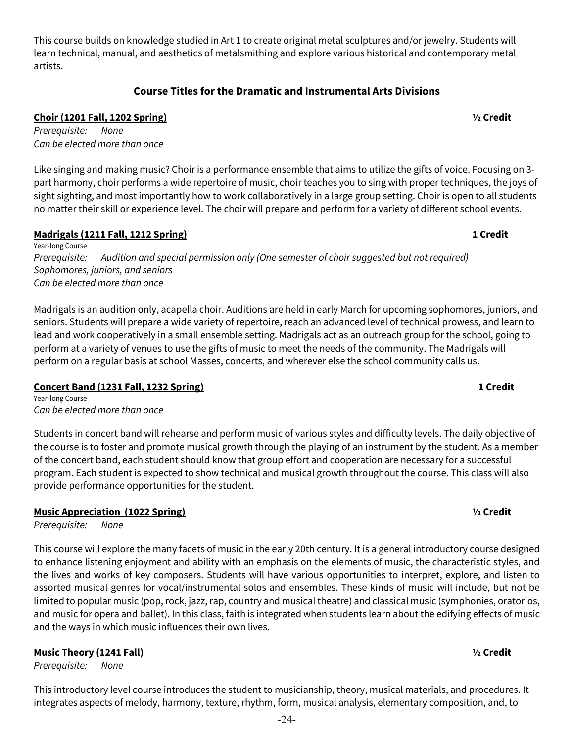This course builds on knowledge studied in Art 1 to create original metal sculptures and/or jewelry. Students will learn technical, manual, and aesthetics of metalsmithing and explore various historical and contemporary metal artists.

## **Course Titles for the Dramatic and Instrumental Arts Divisions**

## **Choir (1201 Fall, 1202 Spring) ½ Credit**

*Prerequisite: None Can be elected more than once*

Like singing and making music? Choir is a performance ensemble that aims to utilize the gifts of voice. Focusing on 3 part harmony, choir performs a wide repertoire of music, choir teaches you to sing with proper techniques, the joys of sight sighting, and most importantly how to work collaboratively in a large group setting. Choir is open to all students no matter their skill or experience level. The choir will prepare and perform for a variety of different school events.

## **Madrigals (1211 Fall, 1212 Spring) 1 Credit**

Year-long Course *Prerequisite: Audition and special permission only (One semester of choir suggested but not required) Sophomores, juniors, and seniors Can be elected more than once*

Madrigals is an audition only, acapella choir. Auditions are held in early March for upcoming sophomores, juniors, and seniors. Students will prepare a wide variety of repertoire, reach an advanced level of technical prowess, and learn to lead and work cooperatively in a small ensemble setting. Madrigals act as an outreach group for the school, going to perform at a variety of venues to use the gifts of music to meet the needs of the community. The Madrigals will perform on a regular basis at school Masses, concerts, and wherever else the school community calls us.

## **Concert Band (1231 Fall, 1232 Spring) 1 Credit**

Year-long Course *Can be elected more than once*

Students in concert band will rehearse and perform music of various styles and difficulty levels. The daily objective of the course is to foster and promote musical growth through the playing of an instrument by the student. As a member of the concert band, each student should know that group effort and cooperation are necessary for a successful program. Each student is expected to show technical and musical growth throughout the course. This class will also provide performance opportunities for the student.

## **Music Appreciation (1022 Spring) ½ Credit**

*Prerequisite: None*

This course will explore the many facets of music in the early 20th century. It is a general introductory course designed to enhance listening enjoyment and ability with an emphasis on the elements of music, the characteristic styles, and the lives and works of key composers. Students will have various opportunities to interpret, explore, and listen to assorted musical genres for vocal/instrumental solos and ensembles. These kinds of music will include, but not be limited to popular music (pop, rock, jazz, rap, country and musical theatre) and classical music (symphonies, oratorios, and music for opera and ballet). In this class, faith is integrated when students learn about the edifying effects of music and the ways in which music influences their own lives.

## **Music Theory (1241 Fall) ½ Credit**

*Prerequisite: None* 

This introductory level course introduces the student to musicianship, theory, musical materials, and procedures. It integrates aspects of melody, harmony, texture, rhythm, form, musical analysis, elementary composition, and, to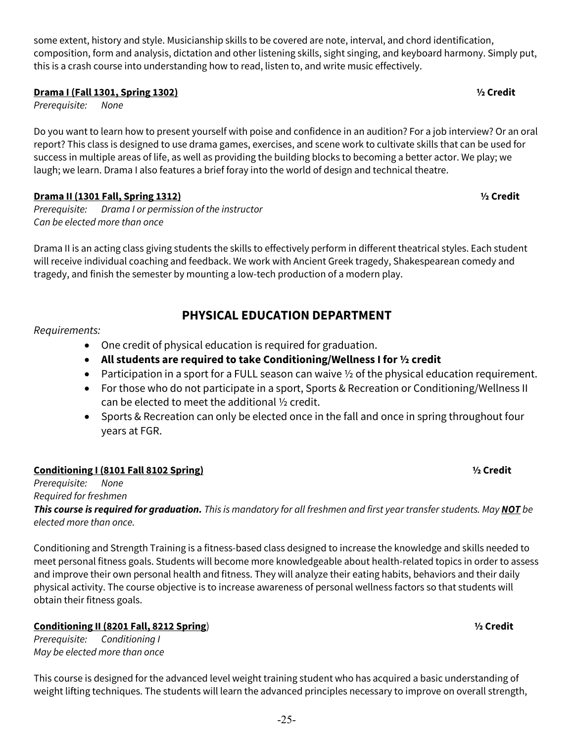some extent, history and style. Musicianship skills to be covered are note, interval, and chord identification, composition, form and analysis, dictation and other listening skills, sight singing, and keyboard harmony. Simply put, this is a crash course into understanding how to read, listen to, and write music effectively.

## **Drama I (Fall 1301, Spring 1302) ½ Credit**

*Prerequisite: None*

Do you want to learn how to present yourself with poise and confidence in an audition? For a job interview? Or an oral report? This class is designed to use drama games, exercises, and scene work to cultivate skills that can be used for success in multiple areas of life, as well as providing the building blocks to becoming a better actor. We play; we laugh; we learn. Drama I also features a brief foray into the world of design and technical theatre.

## **Drama II (1301 Fall, Spring 1312) ½ Credit**

*Prerequisite: Drama I or permission of the instructor Can be elected more than once*

Drama II is an acting class giving students the skills to effectively perform in different theatrical styles. Each student will receive individual coaching and feedback. We work with Ancient Greek tragedy, Shakespearean comedy and tragedy, and finish the semester by mounting a low-tech production of a modern play.

## **PHYSICAL EDUCATION DEPARTMENT**

## *Requirements:*

- One credit of physical education is required for graduation.
- **All students are required to take Conditioning/Wellness I for ½ credit**
- Participation in a sport for a FULL season can waive  $\frac{1}{2}$  of the physical education requirement.
- For those who do not participate in a sport, Sports & Recreation or Conditioning/Wellness II can be elected to meet the additional ½ credit.
- Sports & Recreation can only be elected once in the fall and once in spring throughout four years at FGR.

## **Conditioning I (8101 Fall 8102 Spring) ½ Credit**

*Prerequisite: None Required for freshmen*

*This course is required for graduation. This is mandatory for all freshmen and first year transfer students. May NOT be elected more than once.*

Conditioning and Strength Training is a fitness-based class designed to increase the knowledge and skills needed to meet personal fitness goals. Students will become more knowledgeable about health-related topics in order to assess and improve their own personal health and fitness. They will analyze their eating habits, behaviors and their daily physical activity. The course objective is to increase awareness of personal wellness factors so that students will obtain their fitness goals.

## **Conditioning II (8201 Fall, 8212 Spring**) **½ Credit**

*Prerequisite: Conditioning I May be elected more than once*

This course is designed for the advanced level weight training student who has acquired a basic understanding of weight lifting techniques. The students will learn the advanced principles necessary to improve on overall strength,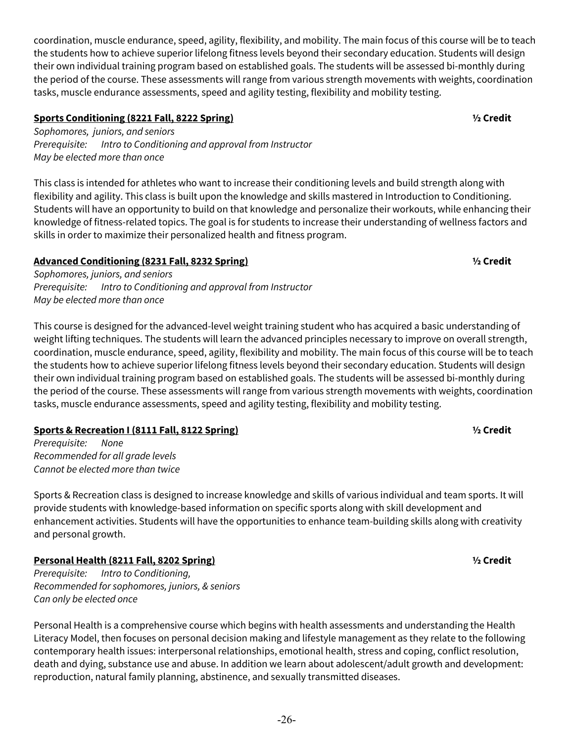coordination, muscle endurance, speed, agility, flexibility, and mobility. The main focus of this course will be to teach the students how to achieve superior lifelong fitness levels beyond their secondary education. Students will design their own individual training program based on established goals. The students will be assessed bi-monthly during the period of the course. These assessments will range from various strength movements with weights, coordination tasks, muscle endurance assessments, speed and agility testing, flexibility and mobility testing.

## **Sports Conditioning (8221 Fall, 8222 Spring) ½ Credit**

*Sophomores, juniors, and seniors Prerequisite: Intro to Conditioning and approval from Instructor May be elected more than once*

This class is intended for athletes who want to increase their conditioning levels and build strength along with flexibility and agility. This class is built upon the knowledge and skills mastered in Introduction to Conditioning. Students will have an opportunity to build on that knowledge and personalize their workouts, while enhancing their knowledge of fitness-related topics. The goal is for students to increase their understanding of wellness factors and skills in order to maximize their personalized health and fitness program.

## **Advanced Conditioning (8231 Fall, 8232 Spring) ½ Credit**

*Sophomores, juniors, and seniors Prerequisite: Intro to Conditioning and approval from Instructor May be elected more than once*

This course is designed for the advanced-level weight training student who has acquired a basic understanding of weight lifting techniques. The students will learn the advanced principles necessary to improve on overall strength, coordination, muscle endurance, speed, agility, flexibility and mobility. The main focus of this course will be to teach the students how to achieve superior lifelong fitness levels beyond their secondary education. Students will design their own individual training program based on established goals. The students will be assessed bi-monthly during the period of the course. These assessments will range from various strength movements with weights, coordination tasks, muscle endurance assessments, speed and agility testing, flexibility and mobility testing.

## **Sports & Recreation I (8111 Fall, 8122 Spring) ½ Credit**

*Prerequisite: None Recommended for all grade levels Cannot be elected more than twice*

Sports & Recreation class is designed to increase knowledge and skills of various individual and team sports. It will provide students with knowledge-based information on specific sports along with skill development and enhancement activities. Students will have the opportunities to enhance team-building skills along with creativity and personal growth.

## **Personal Health (8211 Fall, 8202 Spring) ½ Credit**

*Prerequisite: Intro to Conditioning, Recommended for sophomores, juniors, & seniors Can only be elected once*

Personal Health is a comprehensive course which begins with health assessments and understanding the Health Literacy Model, then focuses on personal decision making and lifestyle management as they relate to the following contemporary health issues: interpersonal relationships, emotional health, stress and coping, conflict resolution, death and dying, substance use and abuse. In addition we learn about adolescent/adult growth and development: reproduction, natural family planning, abstinence, and sexually transmitted diseases.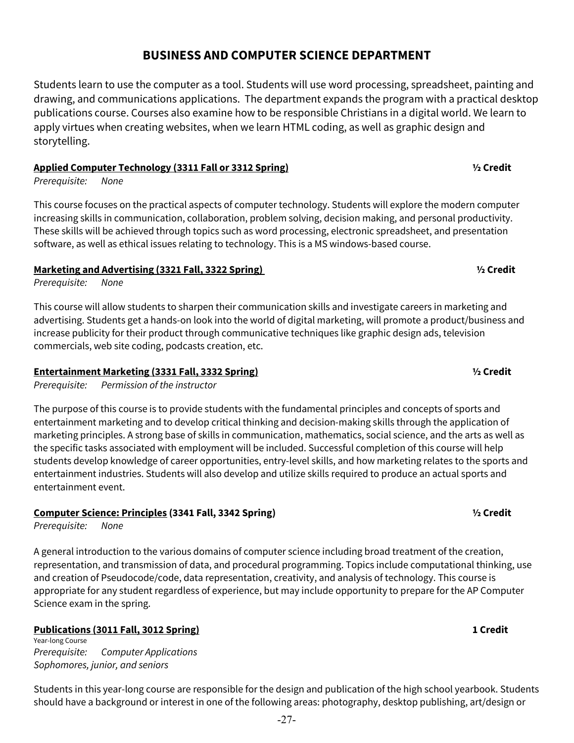# -27-

## **BUSINESS AND COMPUTER SCIENCE DEPARTMENT**

Students learn to use the computer as a tool. Students will use word processing, spreadsheet, painting and drawing, and communications applications. The department expands the program with a practical desktop publications course. Courses also examine how to be responsible Christians in a digital world. We learn to apply virtues when creating websites, when we learn HTML coding, as well as graphic design and storytelling.

## **Applied Computer Technology (3311 Fall or 3312 Spring) ½ Credit**

*Prerequisite: None*

This course focuses on the practical aspects of computer technology. Students will explore the modern computer increasing skills in communication, collaboration, problem solving, decision making, and personal productivity. These skills will be achieved through topics such as word processing, electronic spreadsheet, and presentation software, as well as ethical issues relating to technology. This is a MS windows-based course.

## **Marketing and Advertising (3321 Fall, 3322 Spring) ½ Credit**

*Prerequisite: None*

This course will allow students to sharpen their communication skills and investigate careers in marketing and advertising. Students get a hands-on look into the world of digital marketing, will promote a product/business and increase publicity for their product through communicative techniques like graphic design ads, television commercials, web site coding, podcasts creation, etc.

## **Entertainment Marketing (3331 Fall, 3332 Spring) ½ Credit**

*Prerequisite: Permission of the instructor*

The purpose of this course is to provide students with the fundamental principles and concepts of sports and entertainment marketing and to develop critical thinking and decision-making skills through the application of marketing principles. A strong base of skills in communication, mathematics, social science, and the arts as well as the specific tasks associated with employment will be included. Successful completion of this course will help students develop knowledge of career opportunities, entry-level skills, and how marketing relates to the sports and entertainment industries. Students will also develop and utilize skills required to produce an actual sports and entertainment event.

## **Computer Science: Principles (3341 Fall, 3342 Spring) ½ Credit**

*Prerequisite: None*

A general introduction to the various domains of computer science including broad treatment of the creation, representation, and transmission of data, and procedural programming. Topics include computational thinking, use and creation of Pseudocode/code, data representation, creativity, and analysis of technology. This course is appropriate for any student regardless of experience, but may include opportunity to prepare for the AP Computer Science exam in the spring.

## **Publications (3011 Fall, 3012 Spring) 1 Credit**

Year-long Course *Prerequisite: Computer Applications Sophomores, junior, and seniors*

Students in this year-long course are responsible for the design and publication of the high school yearbook. Students should have a background or interest in one of the following areas: photography, desktop publishing, art/design or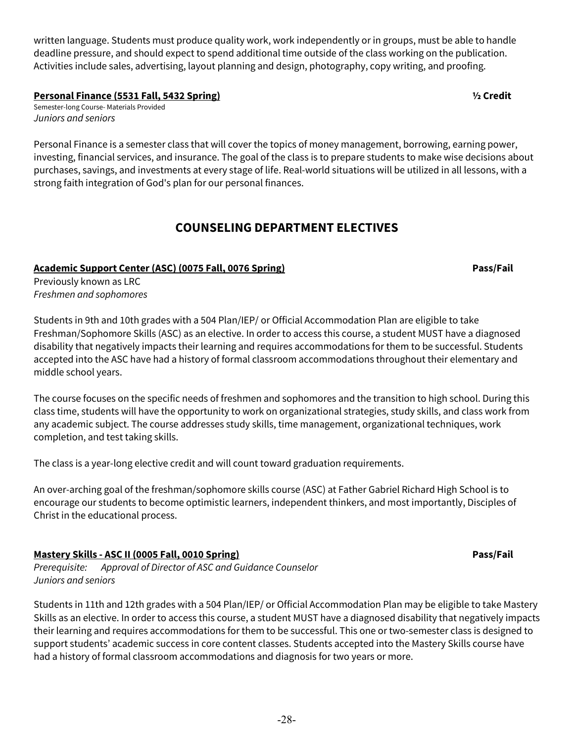-28-

written language. Students must produce quality work, work independently or in groups, must be able to handle deadline pressure, and should expect to spend additional time outside of the class working on the publication. Activities include sales, advertising, layout planning and design, photography, copy writing, and proofing.

**Personal Finance (5531 Fall, 5432 Spring) ½ Credit**

Semester-long Course- Materials Provided *Juniors and seniors*

Personal Finance is a semester class that will cover the topics of money management, borrowing, earning power, investing, financial services, and insurance. The goal of the class is to prepare students to make wise decisions about purchases, savings, and investments at every stage of life. Real-world situations will be utilized in all lessons, with a strong faith integration of God's plan for our personal finances.

## **COUNSELING DEPARTMENT ELECTIVES**

## **Academic Support Center (ASC) (0075 Fall, 0076 Spring) Pass/Fail**

Previously known as LRC *Freshmen and sophomores*

Students in 9th and 10th grades with a 504 Plan/IEP/ or Official Accommodation Plan are eligible to take Freshman/Sophomore Skills (ASC) as an elective. In order to access this course, a student MUST have a diagnosed disability that negatively impacts their learning and requires accommodations for them to be successful. Students accepted into the ASC have had a history of formal classroom accommodations throughout their elementary and middle school years.

The course focuses on the specific needs of freshmen and sophomores and the transition to high school. During this class time, students will have the opportunity to work on organizational strategies, study skills, and class work from any academic subject. The course addresses study skills, time management, organizational techniques, work completion, and test taking skills.

The class is a year-long elective credit and will count toward graduation requirements.

An over-arching goal of the freshman/sophomore skills course (ASC) at Father Gabriel Richard High School is to encourage our students to become optimistic learners, independent thinkers, and most importantly, Disciples of Christ in the educational process.

## **Mastery Skills - ASC II (0005 Fall, 0010 Spring) Pass/Fail**

*Prerequisite: Approval of Director of ASC and Guidance Counselor Juniors and seniors*

Students in 11th and 12th grades with a 504 Plan/IEP/ or Official Accommodation Plan may be eligible to take Mastery Skills as an elective. In order to access this course, a student MUST have a diagnosed disability that negatively impacts their learning and requires accommodations for them to be successful. This one or two-semester class is designed to support students' academic success in core content classes. Students accepted into the Mastery Skills course have had a history of formal classroom accommodations and diagnosis for two years or more.